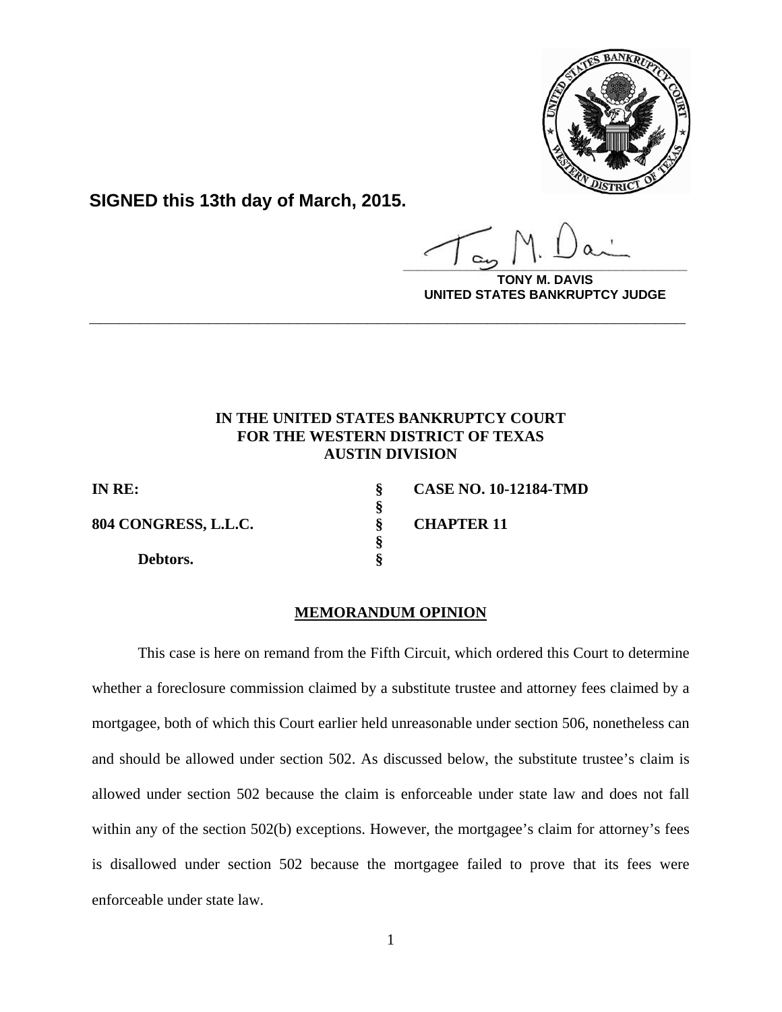

**SIGNED this 13th day of March, 2015.**

 **§** 

 **§** 

**\_\_\_\_\_\_\_\_\_\_\_\_\_\_\_\_\_\_\_\_\_\_\_\_\_\_\_\_\_\_\_\_\_\_\_\_\_\_\_\_**

**DAVIS UNITED STATES BANKRUPTCY JUDGE**

## **IN THE UNITED STATES BANKRUPTCY COURT FOR THE WESTERN DISTRICT OF TEXAS AUSTIN DIVISION**

**\_\_\_\_\_\_\_\_\_\_\_\_\_\_\_\_\_\_\_\_\_\_\_\_\_\_\_\_\_\_\_\_\_\_\_\_\_\_\_\_\_\_\_\_\_\_\_\_\_\_\_\_\_\_\_\_\_\_\_\_**

**804 CONGRESS, L.L.C. § CHAPTER 11** 

 **Debtors. §** 

**IN RE: § CASE NO. 10-12184-TMD** 

## **MEMORANDUM OPINION**

This case is here on remand from the Fifth Circuit, which ordered this Court to determine whether a foreclosure commission claimed by a substitute trustee and attorney fees claimed by a mortgagee, both of which this Court earlier held unreasonable under section 506, nonetheless can and should be allowed under section 502. As discussed below, the substitute trustee's claim is allowed under section 502 because the claim is enforceable under state law and does not fall within any of the section 502(b) exceptions. However, the mortgagee's claim for attorney's fees is disallowed under section 502 because the mortgagee failed to prove that its fees were enforceable under state law.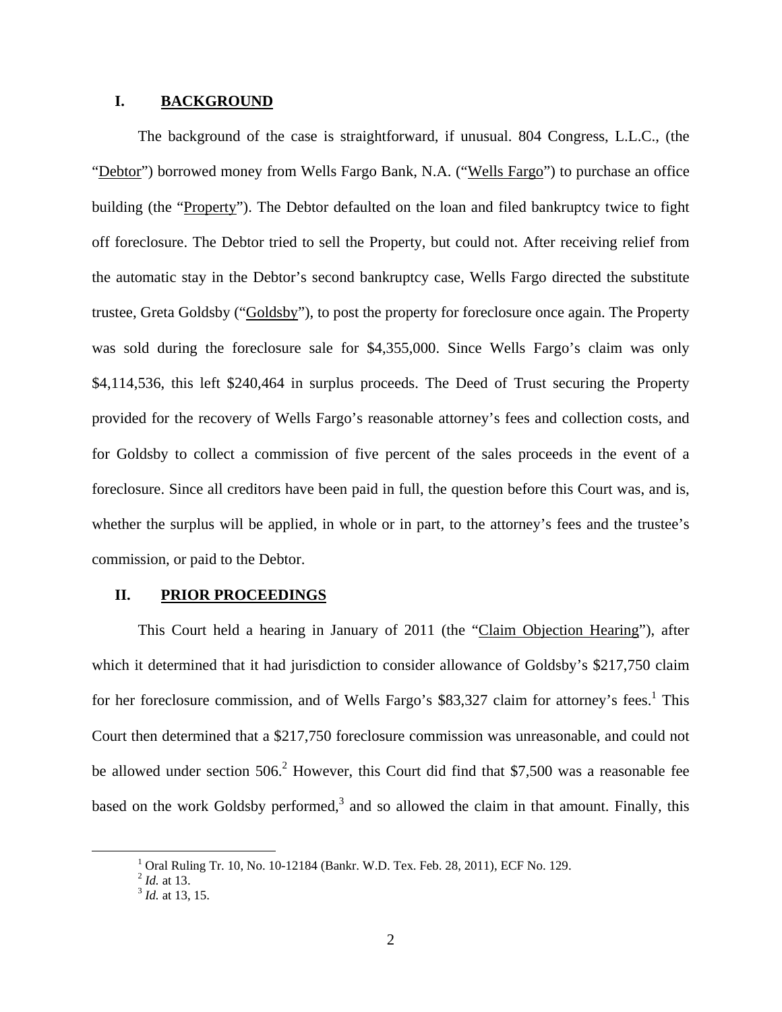### **I. BACKGROUND**

The background of the case is straightforward, if unusual. 804 Congress, L.L.C., (the "Debtor") borrowed money from Wells Fargo Bank, N.A. ("Wells Fargo") to purchase an office building (the "Property"). The Debtor defaulted on the loan and filed bankruptcy twice to fight off foreclosure. The Debtor tried to sell the Property, but could not. After receiving relief from the automatic stay in the Debtor's second bankruptcy case, Wells Fargo directed the substitute trustee, Greta Goldsby ("Goldsby"), to post the property for foreclosure once again. The Property was sold during the foreclosure sale for \$4,355,000. Since Wells Fargo's claim was only \$4,114,536, this left \$240,464 in surplus proceeds. The Deed of Trust securing the Property provided for the recovery of Wells Fargo's reasonable attorney's fees and collection costs, and for Goldsby to collect a commission of five percent of the sales proceeds in the event of a foreclosure. Since all creditors have been paid in full, the question before this Court was, and is, whether the surplus will be applied, in whole or in part, to the attorney's fees and the trustee's commission, or paid to the Debtor.

#### **II. PRIOR PROCEEDINGS**

This Court held a hearing in January of 2011 (the "Claim Objection Hearing"), after which it determined that it had jurisdiction to consider allowance of Goldsby's \$217,750 claim for her foreclosure commission, and of Wells Fargo's \$83,327 claim for attorney's fees.<sup>1</sup> This Court then determined that a \$217,750 foreclosure commission was unreasonable, and could not be allowed under section 506.<sup>2</sup> However, this Court did find that \$7,500 was a reasonable fee based on the work Goldsby performed,<sup>3</sup> and so allowed the claim in that amount. Finally, this

<sup>&</sup>lt;u>1</u> <sup>1</sup> Oral Ruling Tr. 10, No. 10-12184 (Bankr. W.D. Tex. Feb. 28, 2011), ECF No. 129.  $^{2}$  *Id.* at 13.

<sup>&</sup>lt;sup>3</sup> *Id.* at 13, 15.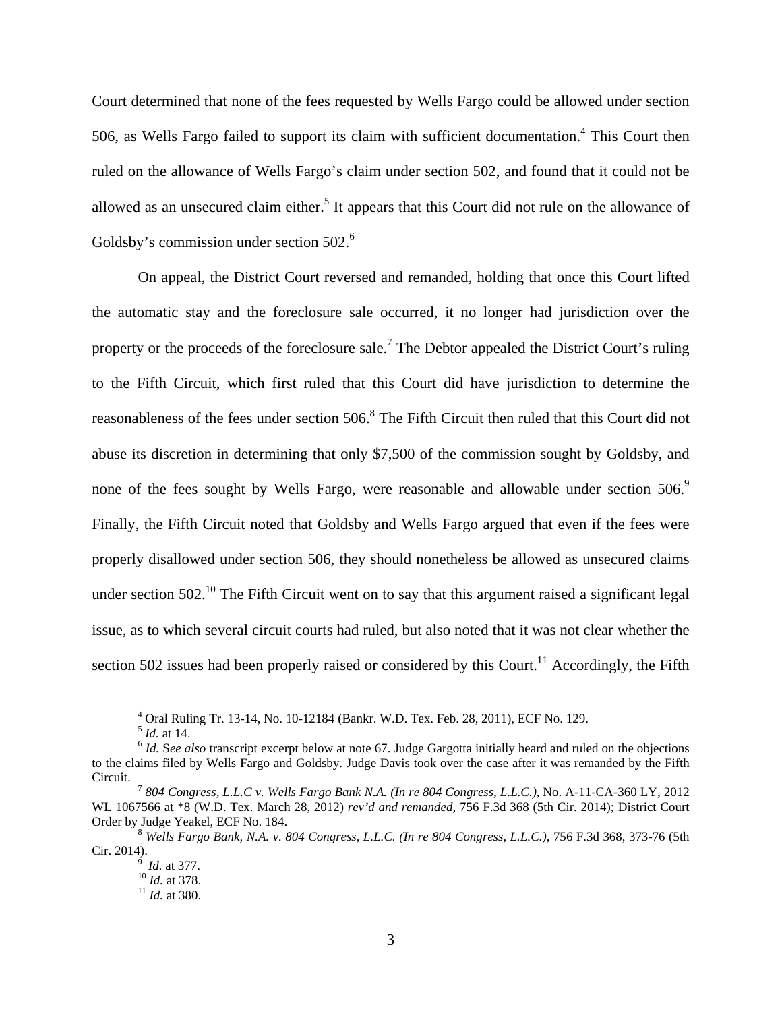Court determined that none of the fees requested by Wells Fargo could be allowed under section 506, as Wells Fargo failed to support its claim with sufficient documentation.<sup>4</sup> This Court then ruled on the allowance of Wells Fargo's claim under section 502, and found that it could not be allowed as an unsecured claim either.<sup>5</sup> It appears that this Court did not rule on the allowance of Goldsby's commission under section  $502<sup>6</sup>$ 

On appeal, the District Court reversed and remanded, holding that once this Court lifted the automatic stay and the foreclosure sale occurred, it no longer had jurisdiction over the property or the proceeds of the foreclosure sale.<sup>7</sup> The Debtor appealed the District Court's ruling to the Fifth Circuit, which first ruled that this Court did have jurisdiction to determine the reasonableness of the fees under section 506.<sup>8</sup> The Fifth Circuit then ruled that this Court did not abuse its discretion in determining that only \$7,500 of the commission sought by Goldsby, and none of the fees sought by Wells Fargo, were reasonable and allowable under section 506.<sup>9</sup> Finally, the Fifth Circuit noted that Goldsby and Wells Fargo argued that even if the fees were properly disallowed under section 506, they should nonetheless be allowed as unsecured claims under section  $502<sup>10</sup>$ . The Fifth Circuit went on to say that this argument raised a significant legal issue, as to which several circuit courts had ruled, but also noted that it was not clear whether the section 502 issues had been properly raised or considered by this Court.<sup>11</sup> Accordingly, the Fifth

 $\frac{1}{4}$ <sup>4</sup> Oral Ruling Tr. 13-14, No. 10-12184 (Bankr. W.D. Tex. Feb. 28, 2011), ECF No. 129.  $5$  *Id.* at 14.

 $<sup>6</sup>$  *Id.* See *also* transcript excerpt below at note 67. Judge Gargotta initially heard and ruled on the objections</sup> to the claims filed by Wells Fargo and Goldsby. Judge Davis took over the case after it was remanded by the Fifth

<sup>&</sup>lt;sup>7</sup> 804 Congress, L.L.C v. Wells Fargo Bank N.A. (In re 804 Congress, L.L.C.), No. A-11-CA-360 LY, 2012 WL 1067566 at \*8 (W.D. Tex. March 28, 2012) *rev'd and remanded,* 756 F.3d 368 (5th Cir. 2014); District Court

<sup>&</sup>lt;sup>8</sup> Wells Fargo Bank, N.A. v. 804 Congress, L.L.C. (In re 804 Congress, L.L.C.), 756 F.3d 368, 373-76 (5th Cir. 2014).

Cir. 2014). 9 *Id.* at 377. 10 *Id.* at 378. 11 *Id.* at 380.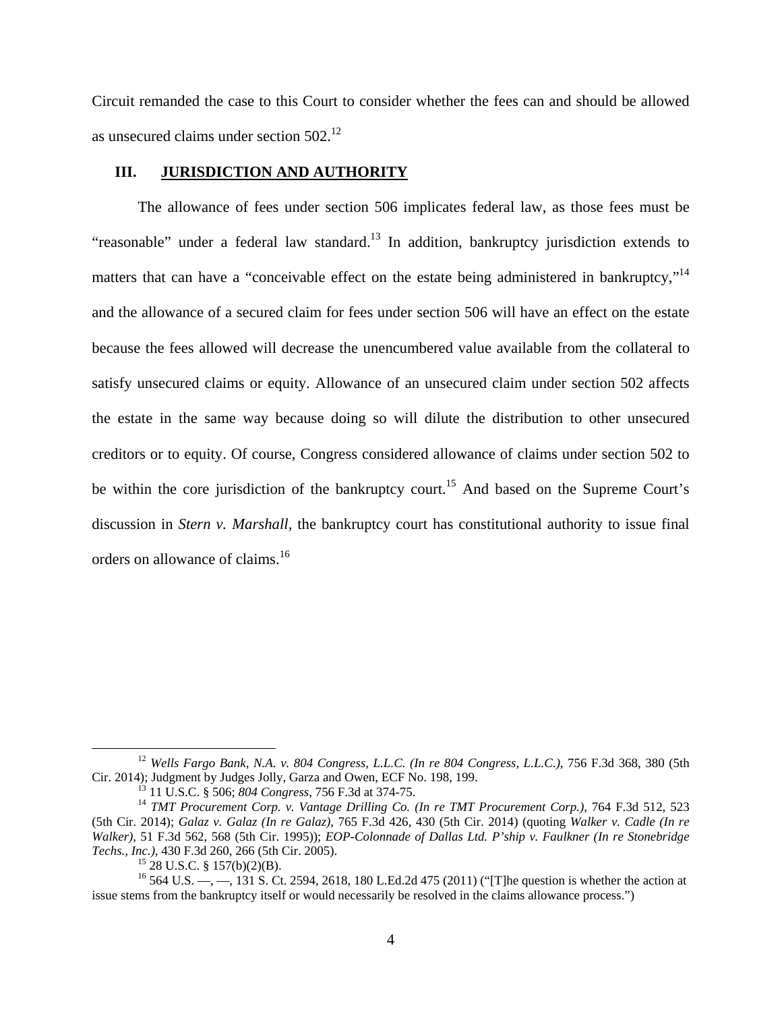Circuit remanded the case to this Court to consider whether the fees can and should be allowed as unsecured claims under section 502.12

#### **III. JURISDICTION AND AUTHORITY**

The allowance of fees under section 506 implicates federal law, as those fees must be "reasonable" under a federal law standard.<sup>13</sup> In addition, bankruptcy jurisdiction extends to matters that can have a "conceivable effect on the estate being administered in bankruptcy,"<sup>14</sup> and the allowance of a secured claim for fees under section 506 will have an effect on the estate because the fees allowed will decrease the unencumbered value available from the collateral to satisfy unsecured claims or equity. Allowance of an unsecured claim under section 502 affects the estate in the same way because doing so will dilute the distribution to other unsecured creditors or to equity. Of course, Congress considered allowance of claims under section 502 to be within the core jurisdiction of the bankruptcy court.<sup>15</sup> And based on the Supreme Court's discussion in *Stern v. Marshall,* the bankruptcy court has constitutional authority to issue final orders on allowance of claims.<sup>16</sup>

<sup>&</sup>lt;sup>12</sup> *Wells Fargo Bank, N.A. v. 804 Congress, L.L.C. (In re 804 Congress, L.L.C.), 756 F.3d 368, 380 (5th Cir. 2014); Judgment by Judges Jolly, Garza and Owen, ECF No. 198, 199.* 

<sup>&</sup>lt;sup>13</sup> 11 U.S.C. § 506; 804 Congress, 756 F.3d at 374-75.<br><sup>14</sup> TMT Procurement Corp. v. Vantage Drilling Co. (In re TMT Procurement Corp.), 764 F.3d 512, 523 (5th Cir. 2014); *Galaz v. Galaz (In re Galaz)*, 765 F.3d 426, 430 (5th Cir. 2014) (quoting *Walker v. Cadle (In re Walker)*, 51 F.3d 562, 568 (5th Cir. 1995)); *EOP-Colonnade of Dallas Ltd. P'ship v. Faulkner (In re Stonebridge Techs., Inc.)*, 430 F.3d 260, 266 (5th Cir. 2005).<br><sup>15</sup> 28 U.S.C. § 157(b)(2)(B).

<sup>&</sup>lt;sup>16</sup> 564 U.S. —,  $-$ , 131 S. Ct. 2594, 2618, 180 L.Ed.2d 475 (2011) ("The question is whether the action at issue stems from the bankruptcy itself or would necessarily be resolved in the claims allowance process.")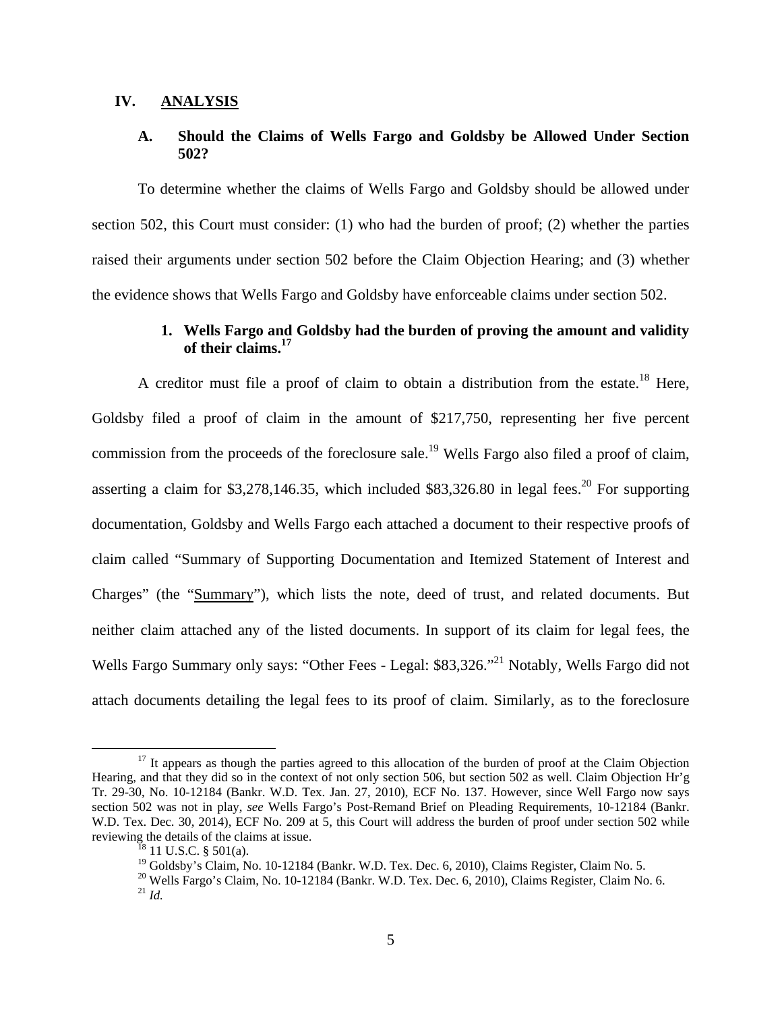### **IV. ANALYSIS**

## **A. Should the Claims of Wells Fargo and Goldsby be Allowed Under Section 502?**

To determine whether the claims of Wells Fargo and Goldsby should be allowed under section 502, this Court must consider: (1) who had the burden of proof; (2) whether the parties raised their arguments under section 502 before the Claim Objection Hearing; and (3) whether the evidence shows that Wells Fargo and Goldsby have enforceable claims under section 502.

## **1. Wells Fargo and Goldsby had the burden of proving the amount and validity of their claims.17**

A creditor must file a proof of claim to obtain a distribution from the estate.<sup>18</sup> Here, Goldsby filed a proof of claim in the amount of \$217,750, representing her five percent commission from the proceeds of the foreclosure sale.<sup>19</sup> Wells Fargo also filed a proof of claim, asserting a claim for \$3,278,146.35, which included \$83,326.80 in legal fees.<sup>20</sup> For supporting documentation, Goldsby and Wells Fargo each attached a document to their respective proofs of claim called "Summary of Supporting Documentation and Itemized Statement of Interest and Charges" (the "Summary"), which lists the note, deed of trust, and related documents. But neither claim attached any of the listed documents. In support of its claim for legal fees, the Wells Fargo Summary only says: "Other Fees - Legal: \$83,326."<sup>21</sup> Notably, Wells Fargo did not attach documents detailing the legal fees to its proof of claim. Similarly, as to the foreclosure

 $17$  It appears as though the parties agreed to this allocation of the burden of proof at the Claim Objection Hearing, and that they did so in the context of not only section 506, but section 502 as well. Claim Objection Hr'g Tr. 29-30, No. 10-12184 (Bankr. W.D. Tex. Jan. 27, 2010), ECF No. 137. However, since Well Fargo now says section 502 was not in play, *see* Wells Fargo's Post-Remand Brief on Pleading Requirements, 10-12184 (Bankr. W.D. Tex. Dec. 30, 2014), ECF No. 209 at 5, this Court will address the burden of proof under section 502 while reviewing the details of the claims at issue.<br><sup>18</sup> 11 U.S.C. § 501(a).

<sup>&</sup>lt;sup>19</sup> Goldsby's Claim, No. 10-12184 (Bankr. W.D. Tex. Dec. 6, 2010), Claims Register, Claim No. 5.

<sup>&</sup>lt;sup>20</sup> Wells Fargo's Claim, No. 10-12184 (Bankr. W.D. Tex. Dec. 6, 2010), Claims Register, Claim No. 6. <sup>21</sup> *Id.*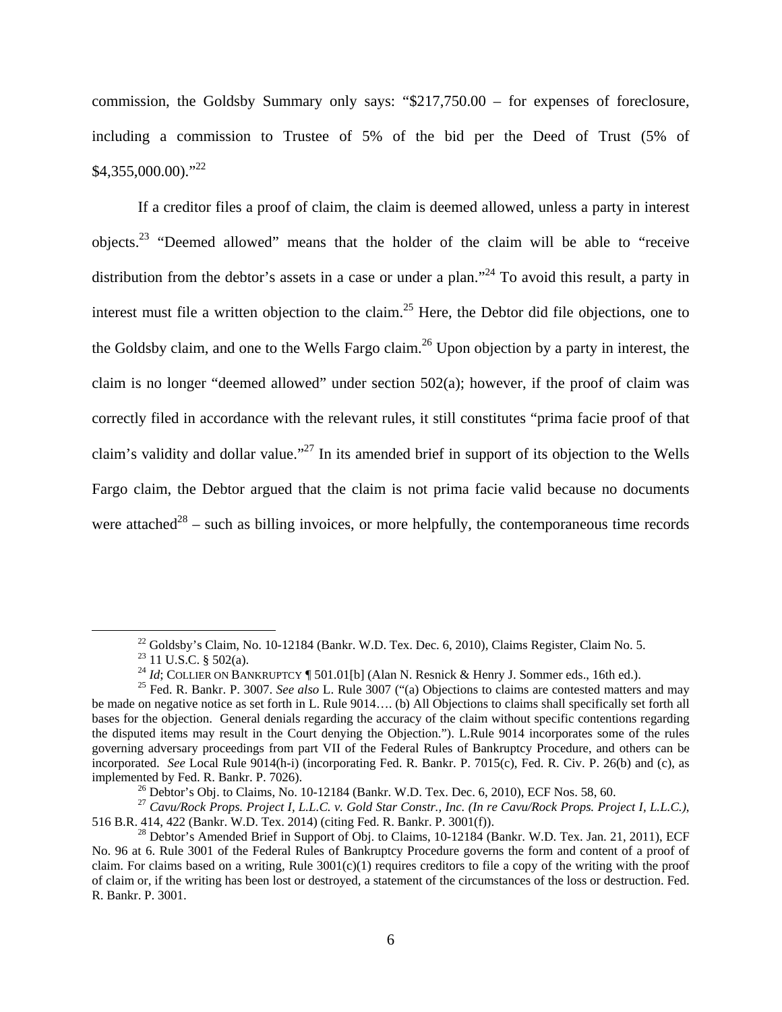commission, the Goldsby Summary only says: "\$217,750.00 – for expenses of foreclosure, including a commission to Trustee of 5% of the bid per the Deed of Trust (5% of  $$4,355,000.00$ <sup>"22</sup>

If a creditor files a proof of claim, the claim is deemed allowed, unless a party in interest objects.23 "Deemed allowed" means that the holder of the claim will be able to "receive distribution from the debtor's assets in a case or under a plan."<sup>24</sup> To avoid this result, a party in interest must file a written objection to the claim.<sup>25</sup> Here, the Debtor did file objections, one to the Goldsby claim, and one to the Wells Fargo claim.<sup>26</sup> Upon objection by a party in interest, the claim is no longer "deemed allowed" under section 502(a); however, if the proof of claim was correctly filed in accordance with the relevant rules, it still constitutes "prima facie proof of that claim's validity and dollar value."27 In its amended brief in support of its objection to the Wells Fargo claim, the Debtor argued that the claim is not prima facie valid because no documents were attached<sup>28</sup> – such as billing invoices, or more helpfully, the contemporaneous time records

 $^{22}$  Goldsby's Claim, No. 10-12184 (Bankr. W.D. Tex. Dec. 6, 2010), Claims Register, Claim No. 5.

<sup>&</sup>lt;sup>23</sup> 11 U.S.C. § 502(a).<br><sup>24</sup> *Id*; COLLIER ON BANKRUPTCY ¶ 501.01[b] (Alan N. Resnick & Henry J. Sommer eds., 16th ed.).

<sup>&</sup>lt;sup>25</sup> Fed. R. Bankr. P. 3007. *See also* L. Rule 3007 ("(a) Objections to claims are contested matters and may be made on negative notice as set forth in L. Rule 9014.... (b) All Objections to claims shall specifically set forth all bases for the objection. General denials regarding the accuracy of the claim without specific contentions regarding the disputed items may result in the Court denying the Objection."). L.Rule 9014 incorporates some of the rules governing adversary proceedings from part VII of the Federal Rules of Bankruptcy Procedure, and others can be incorporated. *See* Local Rule 9014(h-i) (incorporating Fed. R. Bankr. P. 7015(c), Fed. R. Civ. P. 26(b) and (c), as implemented by Fed. R. Bankr. P. 7026).<br><sup>26</sup> Debtor's Obj. to Claims, No. 10-12184 (Bankr. W.D. Tex. Dec. 6, 2010), ECF Nos. 58, 60.

<sup>&</sup>lt;sup>27</sup> *Cavu/Rock Props. Project I, L.L.C. v. Gold Star Constr., Inc. (In re Cavu/Rock Props. Project I, L.L.C.)*, 516 B.R. 414, 422 (Bankr. W.D. Tex. 2014) (citing Fed. R. Bankr. P. 3001(f)).

<sup>&</sup>lt;sup>28</sup> Debtor's Amended Brief in Support of Obj. to Claims, 10-12184 (Bankr. W.D. Tex. Jan. 21, 2011), ECF No. 96 at 6. Rule 3001 of the Federal Rules of Bankruptcy Procedure governs the form and content of a proof of claim. For claims based on a writing, Rule  $3001(c)(1)$  requires creditors to file a copy of the writing with the proof of claim or, if the writing has been lost or destroyed, a statement of the circumstances of the loss or destruction. Fed. R. Bankr. P. 3001.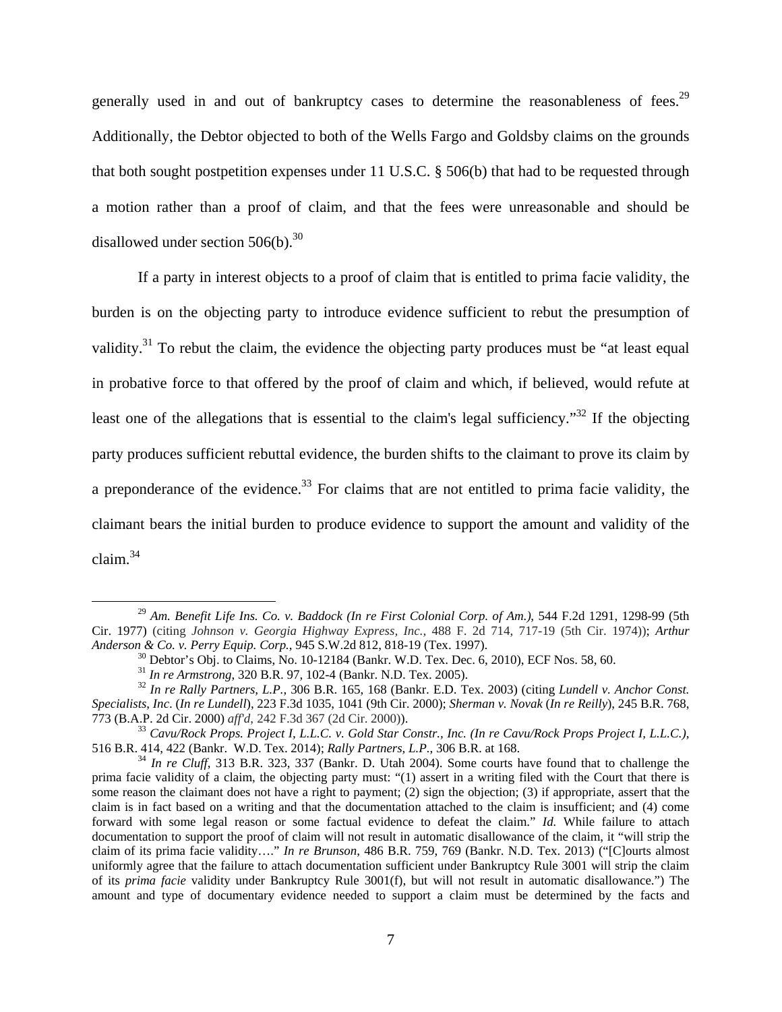generally used in and out of bankruptcy cases to determine the reasonableness of fees.<sup>29</sup> Additionally, the Debtor objected to both of the Wells Fargo and Goldsby claims on the grounds that both sought postpetition expenses under 11 U.S.C. § 506(b) that had to be requested through a motion rather than a proof of claim, and that the fees were unreasonable and should be disallowed under section  $506(b)$ .<sup>30</sup>

 If a party in interest objects to a proof of claim that is entitled to prima facie validity, the burden is on the objecting party to introduce evidence sufficient to rebut the presumption of validity.<sup>31</sup> To rebut the claim, the evidence the objecting party produces must be "at least equal in probative force to that offered by the proof of claim and which, if believed, would refute at least one of the allegations that is essential to the claim's legal sufficiency."<sup>32</sup> If the objecting party produces sufficient rebuttal evidence, the burden shifts to the claimant to prove its claim by a preponderance of the evidence.<sup>33</sup> For claims that are not entitled to prima facie validity, the claimant bears the initial burden to produce evidence to support the amount and validity of the claim. $34$ 

 <sup>29</sup> *Am. Benefit Life Ins. Co. v. Baddock (In re First Colonial Corp. of Am.)*, 544 F.2d 1291, 1298-99 (5th Cir. 1977) (citing *Johnson v. Georgia Highway Express, Inc.,* 488 F. 2d 714, 717-19 (5th Cir. 1974)); *Arthur Anderson & Co. v. Perry Equip. Corp.*, 945 S.W.2d 812, 818-19 (Tex. 1997).<br><sup>30</sup> Debtor's Obj. to Claims, No. 10-12184 (Bankr. W.D. Tex. Dec. 6, 2010), ECF Nos. 58, 60.<br><sup>31</sup> *In re Armstrong*, 320 B.R. 97, 102-4 (Bankr. N.

<sup>&</sup>lt;sup>32</sup> In re Rally Partners, L.P., 306 B.R. 165, 168 (Bankr. E.D. Tex. 2003) (citing *Lundell v. Anchor Const. Specialists, Inc*. (*In re Lundell*), 223 F.3d 1035, 1041 (9th Cir. 2000); *Sherman v. Novak* (*In re Reilly*), 245 B.R. 768,

<sup>773 (</sup>B.A.P. 2d Cir. 2000) *aff'd*, 242 F.3d 367 (2d Cir. 2000)). 33 *Cavu/Rock Props. Project I, L.L.C. v. Gold Star Constr., Inc. (In re Cavu/Rock Props Project I, L.L.C.)*,

 $^{34}$  In re Cluff, 313 B.R. 323, 337 (Bankr. D. Utah 2004). Some courts have found that to challenge the prima facie validity of a claim, the objecting party must: "(1) assert in a writing filed with the Court that there is some reason the claimant does not have a right to payment; (2) sign the objection; (3) if appropriate, assert that the claim is in fact based on a writing and that the documentation attached to the claim is insufficient; and (4) come forward with some legal reason or some factual evidence to defeat the claim." *Id.* While failure to attach documentation to support the proof of claim will not result in automatic disallowance of the claim, it "will strip the claim of its prima facie validity…." *In re Brunson*, 486 B.R. 759, 769 (Bankr. N.D. Tex. 2013) ("[C]ourts almost uniformly agree that the failure to attach documentation sufficient under Bankruptcy Rule 3001 will strip the claim of its *prima facie* validity under Bankruptcy Rule 3001(f), but will not result in automatic disallowance.") The amount and type of documentary evidence needed to support a claim must be determined by the facts and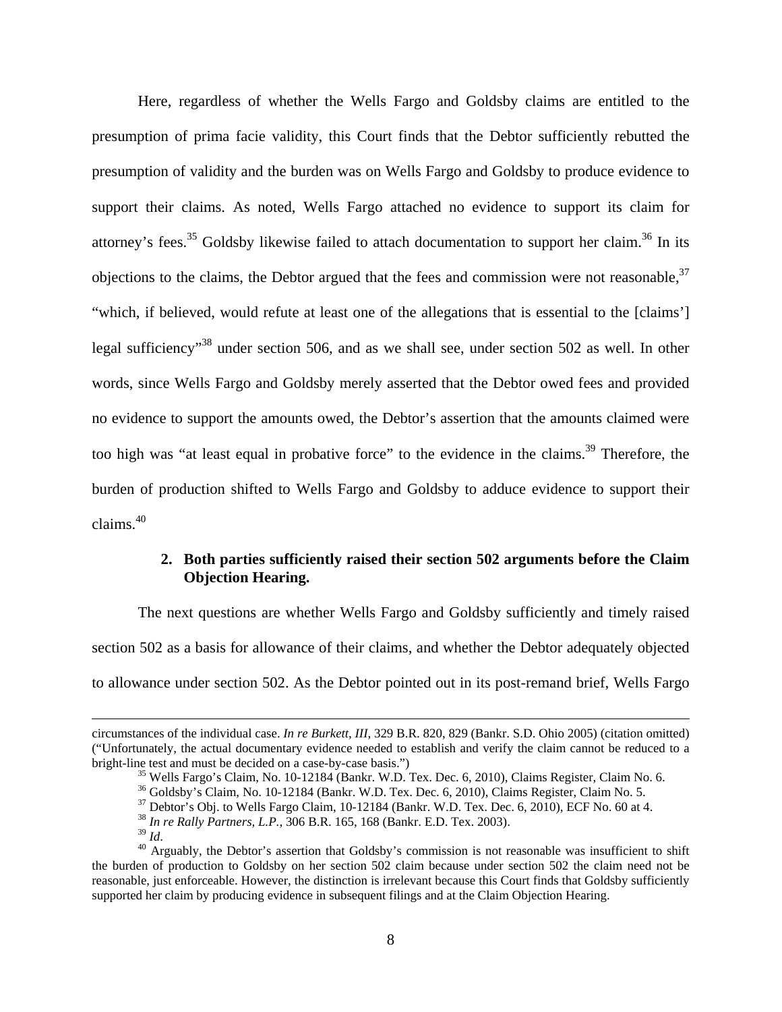Here, regardless of whether the Wells Fargo and Goldsby claims are entitled to the presumption of prima facie validity, this Court finds that the Debtor sufficiently rebutted the presumption of validity and the burden was on Wells Fargo and Goldsby to produce evidence to support their claims. As noted, Wells Fargo attached no evidence to support its claim for attorney's fees.<sup>35</sup> Goldsby likewise failed to attach documentation to support her claim.<sup>36</sup> In its objections to the claims, the Debtor argued that the fees and commission were not reasonable,  $37$ "which, if believed, would refute at least one of the allegations that is essential to the [claims'] legal sufficiency<sup>38</sup> under section 506, and as we shall see, under section 502 as well. In other words, since Wells Fargo and Goldsby merely asserted that the Debtor owed fees and provided no evidence to support the amounts owed, the Debtor's assertion that the amounts claimed were too high was "at least equal in probative force" to the evidence in the claims.<sup>39</sup> Therefore, the burden of production shifted to Wells Fargo and Goldsby to adduce evidence to support their  $claims<sup>40</sup>$ 

## **2. Both parties sufficiently raised their section 502 arguments before the Claim Objection Hearing.**

The next questions are whether Wells Fargo and Goldsby sufficiently and timely raised section 502 as a basis for allowance of their claims, and whether the Debtor adequately objected to allowance under section 502. As the Debtor pointed out in its post-remand brief, Wells Fargo

circumstances of the individual case. *In re Burkett, III*, 329 B.R. 820, 829 (Bankr. S.D. Ohio 2005) (citation omitted) ("Unfortunately, the actual documentary evidence needed to establish and verify the claim cannot be reduced to a

<sup>&</sup>lt;sup>35</sup> Wells Fargo's Claim, No. 10-12184 (Bankr. W.D. Tex. Dec. 6, 2010), Claims Register, Claim No. 6.

<sup>&</sup>lt;sup>36</sup> Goldsby's Claim, No. 10-12184 (Bankr. W.D. Tex. Dec. 6, 2010), Claims Register, Claim No. 5.

<sup>&</sup>lt;sup>37</sup> Debtor's Obj. to Wells Fargo Claim, 10-12184 (Bankr. W.D. Tex. Dec. 6, 2010), ECF No. 60 at 4.

<sup>&</sup>lt;sup>38</sup> *In re Rally Partners, L.P.*, 306 B.R. 165, 168 (Bankr. E.D. Tex. 2003).<br><sup>39</sup> *Id* 

<sup>&</sup>lt;sup>40</sup> Arguably, the Debtor's assertion that Goldsby's commission is not reasonable was insufficient to shift the burden of production to Goldsby on her section 502 claim because under section 502 the claim need not be reasonable, just enforceable. However, the distinction is irrelevant because this Court finds that Goldsby sufficiently supported her claim by producing evidence in subsequent filings and at the Claim Objection Hearing.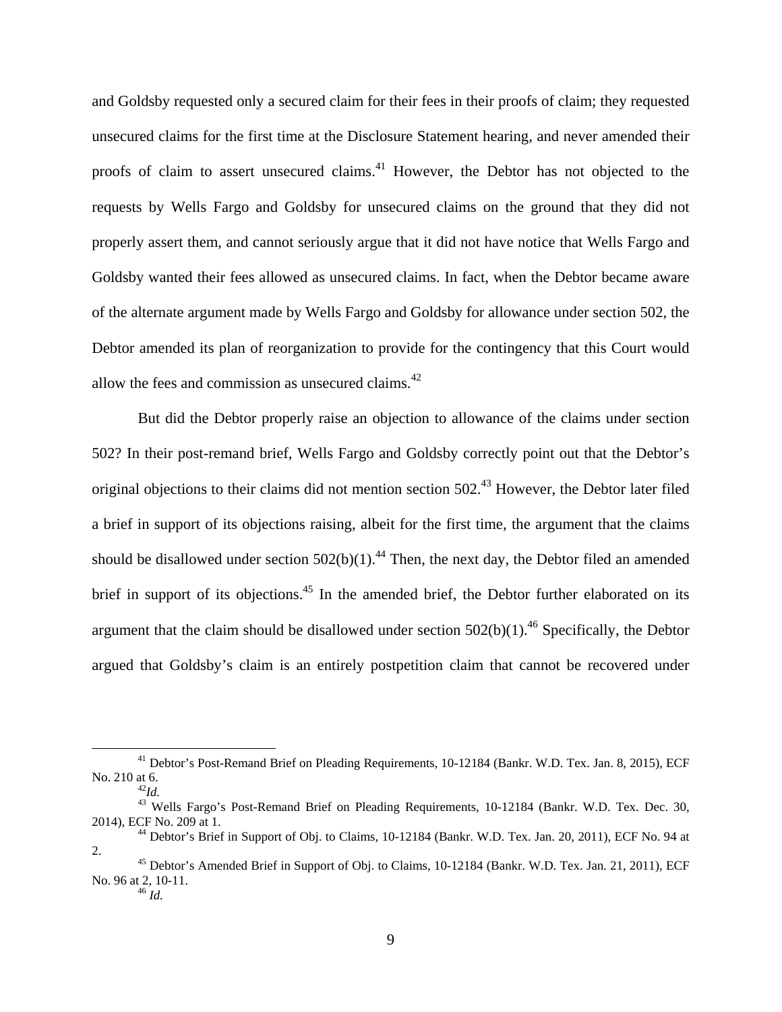and Goldsby requested only a secured claim for their fees in their proofs of claim; they requested unsecured claims for the first time at the Disclosure Statement hearing, and never amended their proofs of claim to assert unsecured claims.41 However, the Debtor has not objected to the requests by Wells Fargo and Goldsby for unsecured claims on the ground that they did not properly assert them, and cannot seriously argue that it did not have notice that Wells Fargo and Goldsby wanted their fees allowed as unsecured claims. In fact, when the Debtor became aware of the alternate argument made by Wells Fargo and Goldsby for allowance under section 502, the Debtor amended its plan of reorganization to provide for the contingency that this Court would allow the fees and commission as unsecured claims.<sup>42</sup>

But did the Debtor properly raise an objection to allowance of the claims under section 502? In their post-remand brief, Wells Fargo and Goldsby correctly point out that the Debtor's original objections to their claims did not mention section 502.<sup>43</sup> However, the Debtor later filed a brief in support of its objections raising, albeit for the first time, the argument that the claims should be disallowed under section  $502(b)(1)$ .<sup>44</sup> Then, the next day, the Debtor filed an amended brief in support of its objections.<sup>45</sup> In the amended brief, the Debtor further elaborated on its argument that the claim should be disallowed under section  $502(b)(1)$ .<sup>46</sup> Specifically, the Debtor argued that Goldsby's claim is an entirely postpetition claim that cannot be recovered under

<sup>&</sup>lt;sup>41</sup> Debtor's Post-Remand Brief on Pleading Requirements, 10-12184 (Bankr. W.D. Tex. Jan. 8, 2015), ECF No. 210 at 6. 42*Id.* 

<sup>&</sup>lt;sup>43</sup> Wells Fargo's Post-Remand Brief on Pleading Requirements, 10-12184 (Bankr. W.D. Tex. Dec. 30, 2014), ECF No. 209 at 1. 44 Debtor's Brief in Support of Obj. to Claims, 10-12184 (Bankr. W.D. Tex. Jan. 20, 2011), ECF No. 94 at

<sup>2. 45</sup> Debtor's Amended Brief in Support of Obj. to Claims, 10-12184 (Bankr. W.D. Tex. Jan. 21, 2011), ECF

No. 96 at 2, 10-11. 46 *Id.*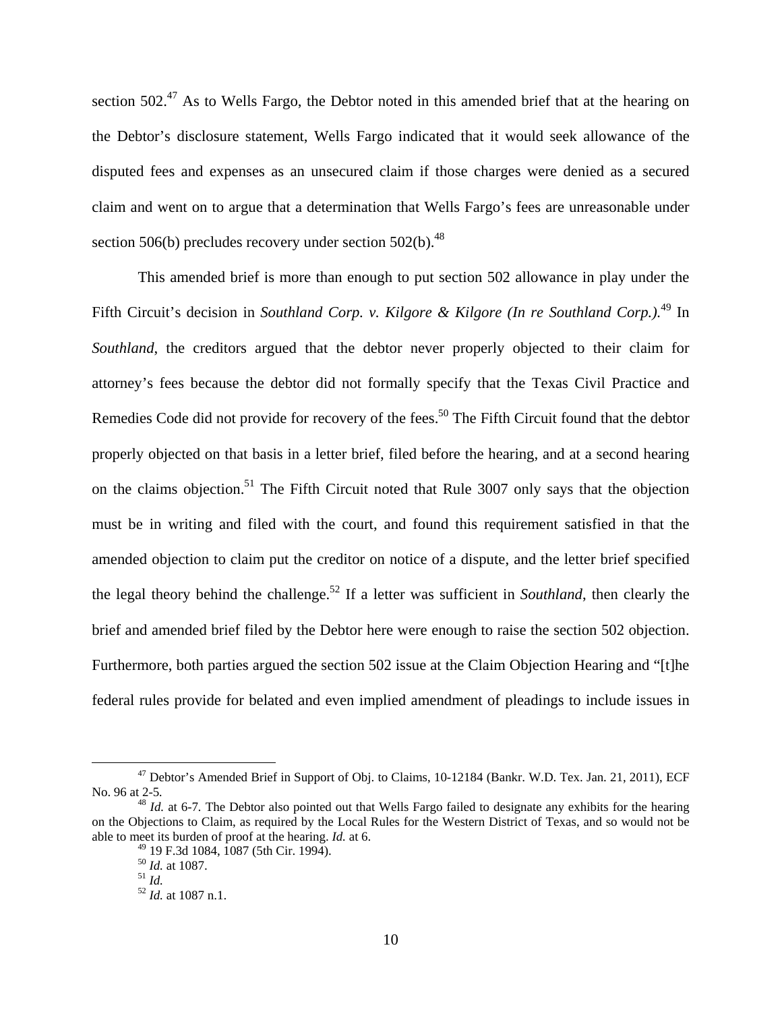section 502.<sup>47</sup> As to Wells Fargo, the Debtor noted in this amended brief that at the hearing on the Debtor's disclosure statement, Wells Fargo indicated that it would seek allowance of the disputed fees and expenses as an unsecured claim if those charges were denied as a secured claim and went on to argue that a determination that Wells Fargo's fees are unreasonable under section 506(b) precludes recovery under section  $502(b)$ .<sup>48</sup>

This amended brief is more than enough to put section 502 allowance in play under the Fifth Circuit's decision in *Southland Corp. v. Kilgore & Kilgore (In re Southland Corp.).*49 In *Southland*, the creditors argued that the debtor never properly objected to their claim for attorney's fees because the debtor did not formally specify that the Texas Civil Practice and Remedies Code did not provide for recovery of the fees.<sup>50</sup> The Fifth Circuit found that the debtor properly objected on that basis in a letter brief, filed before the hearing, and at a second hearing on the claims objection.<sup>51</sup> The Fifth Circuit noted that Rule 3007 only says that the objection must be in writing and filed with the court, and found this requirement satisfied in that the amended objection to claim put the creditor on notice of a dispute, and the letter brief specified the legal theory behind the challenge.52 If a letter was sufficient in *Southland*, then clearly the brief and amended brief filed by the Debtor here were enough to raise the section 502 objection. Furthermore, both parties argued the section 502 issue at the Claim Objection Hearing and "[t]he federal rules provide for belated and even implied amendment of pleadings to include issues in

<sup>&</sup>lt;sup>47</sup> Debtor's Amended Brief in Support of Obj. to Claims, 10-12184 (Bankr. W.D. Tex. Jan. 21, 2011), ECF No. 96 at 2-5*.* <sup>48</sup> *Id.* at 6-7*.* The Debtor also pointed out that Wells Fargo failed to designate any exhibits for the hearing

on the Objections to Claim, as required by the Local Rules for the Western District of Texas, and so would not be able to meet its burden of proof at the hearing. *Id.* at 6.

<sup>&</sup>lt;sup>49</sup> 19 F.3d 1084, 1087 (5th Cir. 1994).<br><sup>50</sup> *Id.* at 1087.

<sup>50</sup> *Id.* at 1087. 51 *Id.* <sup>52</sup> *Id.* at 1087 n.1.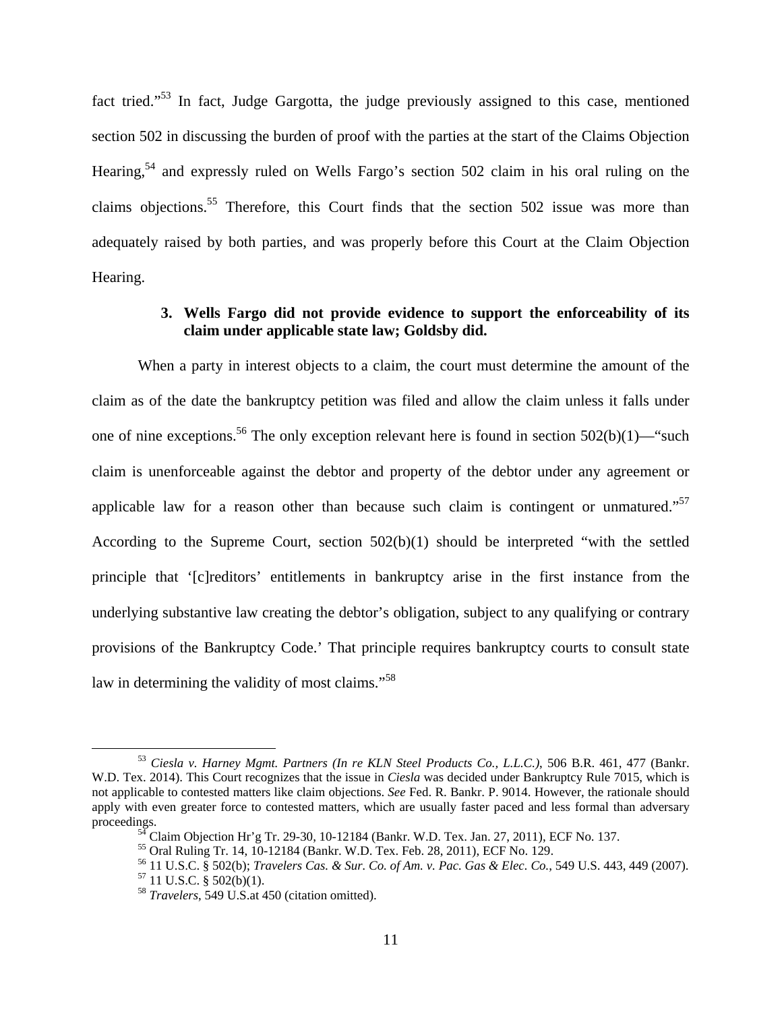fact tried."53 In fact, Judge Gargotta, the judge previously assigned to this case, mentioned section 502 in discussing the burden of proof with the parties at the start of the Claims Objection Hearing,54 and expressly ruled on Wells Fargo's section 502 claim in his oral ruling on the claims objections.55 Therefore, this Court finds that the section 502 issue was more than adequately raised by both parties, and was properly before this Court at the Claim Objection Hearing.

## **3. Wells Fargo did not provide evidence to support the enforceability of its claim under applicable state law; Goldsby did.**

 When a party in interest objects to a claim, the court must determine the amount of the claim as of the date the bankruptcy petition was filed and allow the claim unless it falls under one of nine exceptions.<sup>56</sup> The only exception relevant here is found in section  $502(b)(1)$ —"such claim is unenforceable against the debtor and property of the debtor under any agreement or applicable law for a reason other than because such claim is contingent or unmatured."<sup>57</sup> According to the Supreme Court, section 502(b)(1) should be interpreted "with the settled principle that '[c]reditors' entitlements in bankruptcy arise in the first instance from the underlying substantive law creating the debtor's obligation, subject to any qualifying or contrary provisions of the Bankruptcy Code.' That principle requires bankruptcy courts to consult state law in determining the validity of most claims."<sup>58</sup>

 <sup>53</sup> *Ciesla v. Harney Mgmt. Partners (In re KLN Steel Products Co., L.L.C.)*, 506 B.R. 461, 477 (Bankr. W.D. Tex. 2014). This Court recognizes that the issue in *Ciesla* was decided under Bankruptcy Rule 7015, which is not applicable to contested matters like claim objections. *See* Fed. R. Bankr. P. 9014. However, the rationale should apply with even greater force to contested matters, which are usually faster paced and less formal than adversary proceedings.<br><sup>54</sup> Claim Objection Hr'g Tr. 29-30, 10-12184 (Bankr. W.D. Tex. Jan. 27, 2011), ECF No. 137.

<sup>55</sup> Oral Ruling Tr. 14, 10-12184 (Bankr. W.D. Tex. Feb. 28, 2011), ECF No. 129.

<sup>56 11</sup> U.S.C. § 502(b); *Travelers Cas. & Sur. Co. of Am. v. Pac. Gas & Elec. Co.*, 549 U.S. 443, 449 (2007). 57 11 U.S.C. § 502(b)(1).

<sup>58</sup> *Travelers*, 549 U.S.at 450 (citation omitted).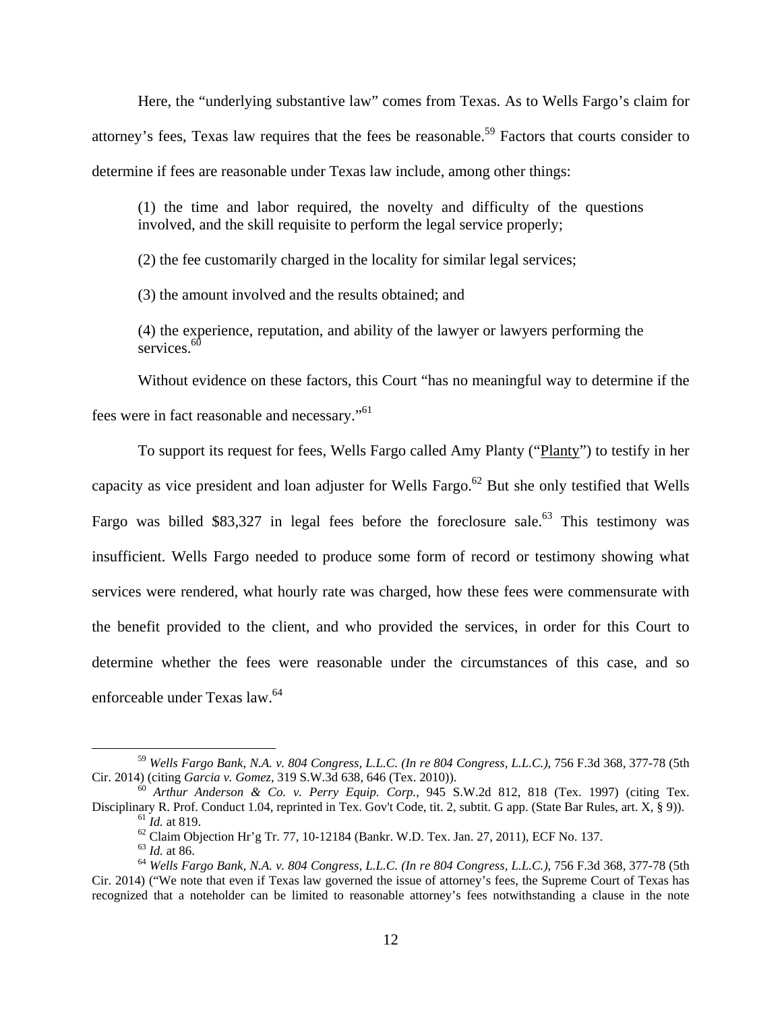Here, the "underlying substantive law" comes from Texas. As to Wells Fargo's claim for attorney's fees, Texas law requires that the fees be reasonable.<sup>59</sup> Factors that courts consider to determine if fees are reasonable under Texas law include, among other things:

(1) the time and labor required, the novelty and difficulty of the questions involved, and the skill requisite to perform the legal service properly;

(2) the fee customarily charged in the locality for similar legal services;

(3) the amount involved and the results obtained; and

(4) the experience, reputation, and ability of the lawyer or lawyers performing the services<sup>60</sup>

Without evidence on these factors, this Court "has no meaningful way to determine if the fees were in fact reasonable and necessary."61

To support its request for fees, Wells Fargo called Amy Planty ("Planty") to testify in her capacity as vice president and loan adjuster for Wells Fargo.<sup>62</sup> But she only testified that Wells Fargo was billed \$83,327 in legal fees before the foreclosure sale.<sup>63</sup> This testimony was insufficient. Wells Fargo needed to produce some form of record or testimony showing what services were rendered, what hourly rate was charged, how these fees were commensurate with the benefit provided to the client, and who provided the services, in order for this Court to determine whether the fees were reasonable under the circumstances of this case, and so enforceable under Texas law.64

 <sup>59</sup> *Wells Fargo Bank, N.A. v. 804 Congress, L.L.C. (In re 804 Congress, L.L.C.)*, 756 F.3d 368, 377-78 (5th

Cir. 2014) (citing *Garcia v. Gomez*, 319 S.W.3d 638, 646 (Tex. 2010)). <sup>60</sup> *Arthur Anderson & Co. v. Perry Equip. Corp.*, 945 S.W.2d 812, 818 (Tex. 1997) (citing Tex. Disciplinary R. Prof. Conduct 1.04, reprinted in Tex. Gov't Code, tit. 2, subtit. G app. (State Bar Rules, art. X, § 9)).<br><sup>61</sup> *Id.* at 819.<br><sup>62</sup> Claim Objection Hr'g Tr. 77, 10-12184 (Bankr. W.D. Tex. Jan. 27, 2011), ECF

<sup>&</sup>lt;sup>64</sup> *Wells Fargo Bank, N.A. v. 804 Congress, L.L.C. (In re 804 Congress, L.L.C.), 756 F.3d 368, 377-78 (5th* Cir. 2014) ("We note that even if Texas law governed the issue of attorney's fees, the Supreme Court of Texas has recognized that a noteholder can be limited to reasonable attorney's fees notwithstanding a clause in the note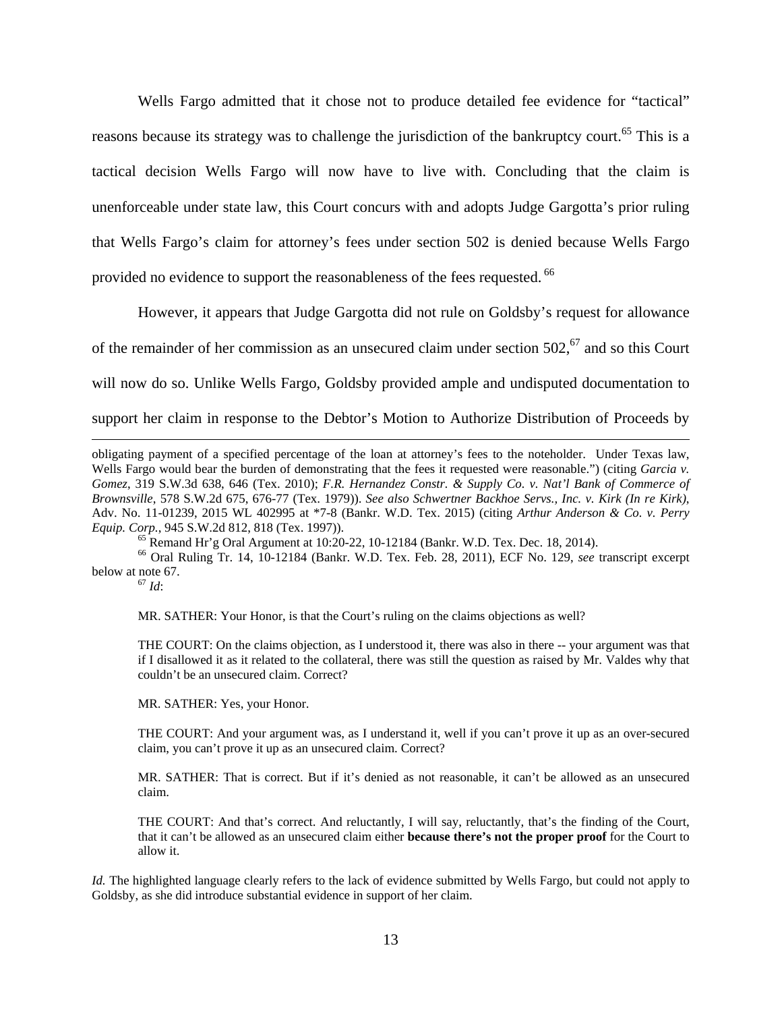Wells Fargo admitted that it chose not to produce detailed fee evidence for "tactical" reasons because its strategy was to challenge the jurisdiction of the bankruptcy court.<sup>65</sup> This is a tactical decision Wells Fargo will now have to live with. Concluding that the claim is unenforceable under state law, this Court concurs with and adopts Judge Gargotta's prior ruling that Wells Fargo's claim for attorney's fees under section 502 is denied because Wells Fargo provided no evidence to support the reasonableness of the fees requested. <sup>66</sup>

 However, it appears that Judge Gargotta did not rule on Goldsby's request for allowance of the remainder of her commission as an unsecured claim under section  $502$ ,  $67$  and so this Court will now do so. Unlike Wells Fargo, Goldsby provided ample and undisputed documentation to support her claim in response to the Debtor's Motion to Authorize Distribution of Proceeds by

66 Oral Ruling Tr. 14, 10-12184 (Bankr. W.D. Tex. Feb. 28, 2011), ECF No. 129, *see* transcript excerpt below at note 67.

<sup>67</sup> *Id*:

MR. SATHER: Your Honor, is that the Court's ruling on the claims objections as well?

THE COURT: On the claims objection, as I understood it, there was also in there -- your argument was that if I disallowed it as it related to the collateral, there was still the question as raised by Mr. Valdes why that couldn't be an unsecured claim. Correct?

MR. SATHER: Yes, your Honor.

THE COURT: And your argument was, as I understand it, well if you can't prove it up as an over-secured claim, you can't prove it up as an unsecured claim. Correct?

MR. SATHER: That is correct. But if it's denied as not reasonable, it can't be allowed as an unsecured claim.

THE COURT: And that's correct. And reluctantly, I will say, reluctantly, that's the finding of the Court, that it can't be allowed as an unsecured claim either **because there's not the proper proof** for the Court to allow it.

*Id.* The highlighted language clearly refers to the lack of evidence submitted by Wells Fargo, but could not apply to Goldsby, as she did introduce substantial evidence in support of her claim.

obligating payment of a specified percentage of the loan at attorney's fees to the noteholder. Under Texas law, Wells Fargo would bear the burden of demonstrating that the fees it requested were reasonable.") (citing *Garcia v. Gomez*, 319 S.W.3d 638, 646 (Tex. 2010); *F.R. Hernandez Constr. & Supply Co. v. Nat'l Bank of Commerce of Brownsville*, 578 S.W.2d 675, 676-77 (Tex. 1979)). *See also Schwertner Backhoe Servs., Inc. v. Kirk (In re Kirk)*, Adv. No. 11-01239, 2015 WL 402995 at \*7-8 (Bankr. W.D. Tex. 2015) (citing *Arthur Anderson & Co. v. Perry Equip. Corp.*, 945 S.W.2d 812, 818 (Tex. 1997)).<br><sup>65</sup> Remand Hr'g Oral Argument at 10:20-22, 10-12184 (Bankr. W.D. Tex. Dec. 18, 2014).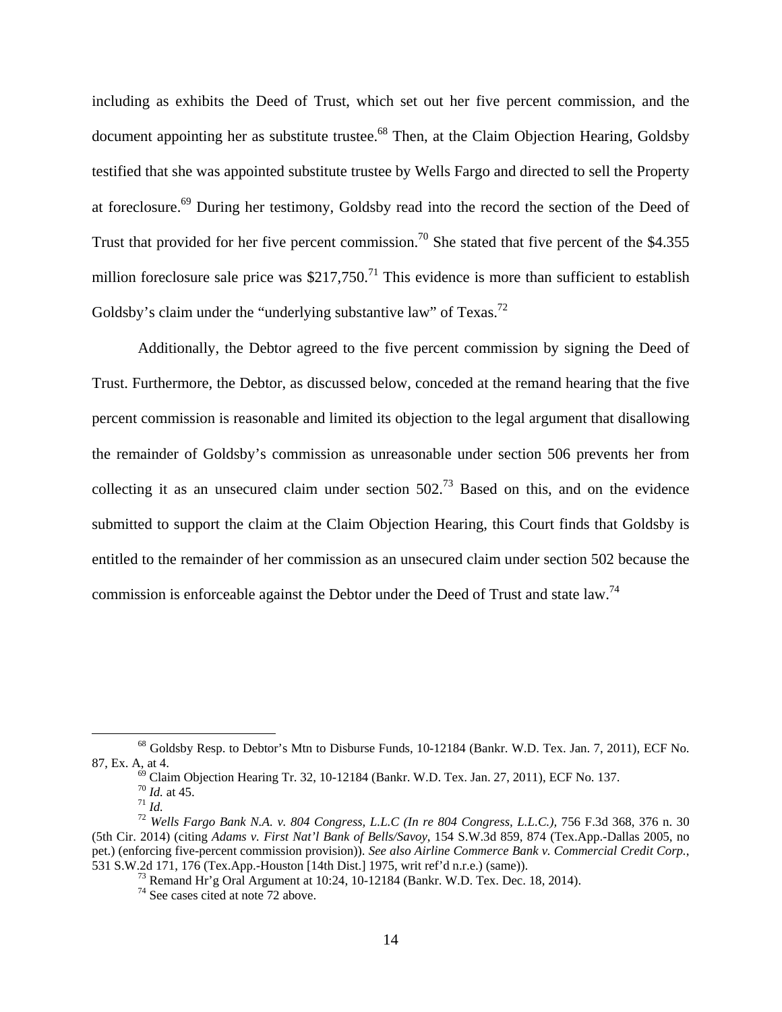including as exhibits the Deed of Trust, which set out her five percent commission, and the document appointing her as substitute trustee.<sup>68</sup> Then, at the Claim Objection Hearing, Goldsby testified that she was appointed substitute trustee by Wells Fargo and directed to sell the Property at foreclosure.<sup>69</sup> During her testimony, Goldsby read into the record the section of the Deed of Trust that provided for her five percent commission.<sup>70</sup> She stated that five percent of the \$4.355 million foreclosure sale price was  $$217,750$ .<sup>71</sup> This evidence is more than sufficient to establish Goldsby's claim under the "underlying substantive law" of Texas.<sup>72</sup>

Additionally, the Debtor agreed to the five percent commission by signing the Deed of Trust. Furthermore, the Debtor, as discussed below, conceded at the remand hearing that the five percent commission is reasonable and limited its objection to the legal argument that disallowing the remainder of Goldsby's commission as unreasonable under section 506 prevents her from collecting it as an unsecured claim under section  $502<sup>73</sup>$  Based on this, and on the evidence submitted to support the claim at the Claim Objection Hearing, this Court finds that Goldsby is entitled to the remainder of her commission as an unsecured claim under section 502 because the commission is enforceable against the Debtor under the Deed of Trust and state law.<sup>74</sup>

 <sup>68</sup> Goldsby Resp. to Debtor's Mtn to Disburse Funds, 10-12184 (Bankr. W.D. Tex. Jan. 7, 2011), ECF No. 87, Ex. A, at 4.  $^{69}$  Claim Objection Hearing Tr. 32, 10-12184 (Bankr. W.D. Tex. Jan. 27, 2011), ECF No. 137.  $^{70}$  *Id.* at 45.

*Ti Id.* at 45.<br>*71 Id.*<br><sup>72</sup> Wells Fargo Bank N.A. v. 804 Congress, L.L.C (In re 804 Congress, L.L.C.), 756 F.3d 368, 376 n. 30 (5th Cir. 2014) (citing *Adams v. First Nat'l Bank of Bells/Savoy*, 154 S.W.3d 859, 874 (Tex.App.-Dallas 2005, no pet.) (enforcing five-percent commission provision)). *See also Airline Commerce Bank v. Commercial Credit Corp.*, 531 S.W.2d 171, 176 (Tex.App.-Houston [14th Dist.] 1975, writ ref'd n.r.e.) (same)).

 $^{73}$  Remand Hr'g Oral Argument at 10:24, 10-12184 (Bankr. W.D. Tex. Dec. 18, 2014).

<sup>&</sup>lt;sup>74</sup> See cases cited at note 72 above.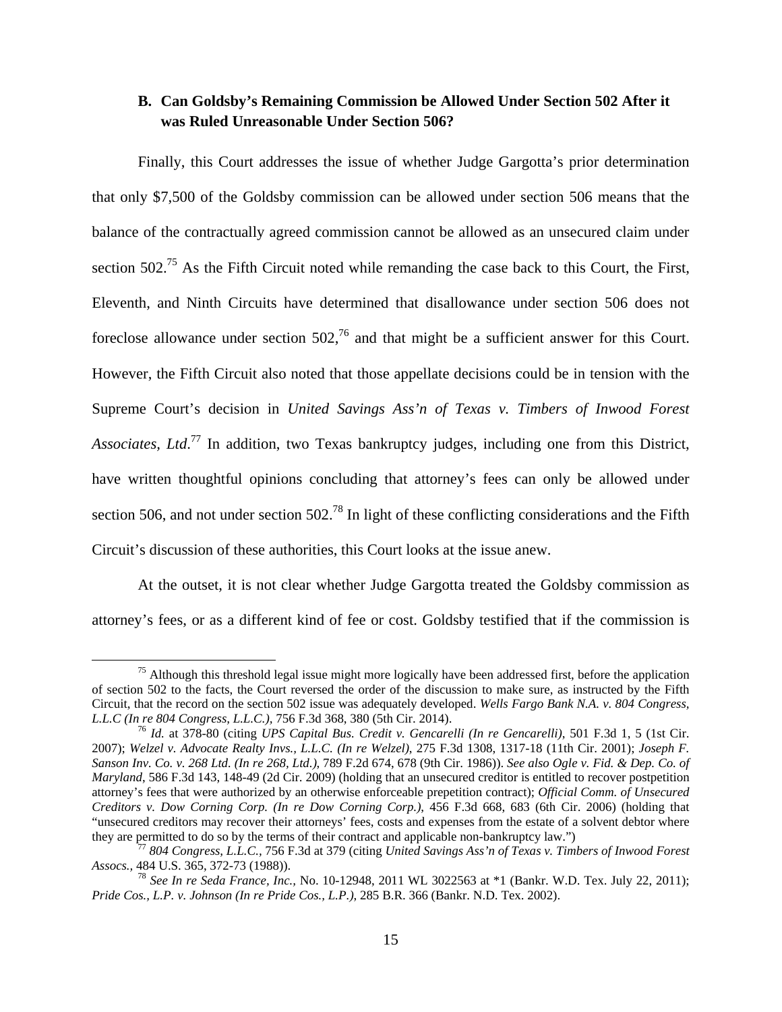## **B. Can Goldsby's Remaining Commission be Allowed Under Section 502 After it was Ruled Unreasonable Under Section 506?**

Finally, this Court addresses the issue of whether Judge Gargotta's prior determination that only \$7,500 of the Goldsby commission can be allowed under section 506 means that the balance of the contractually agreed commission cannot be allowed as an unsecured claim under section 502.<sup>75</sup> As the Fifth Circuit noted while remanding the case back to this Court, the First, Eleventh, and Ninth Circuits have determined that disallowance under section 506 does not foreclose allowance under section  $502<sup>76</sup>$  and that might be a sufficient answer for this Court. However, the Fifth Circuit also noted that those appellate decisions could be in tension with the Supreme Court's decision in *United Savings Ass'n of Texas v. Timbers of Inwood Forest Associates, Ltd*. 77 In addition, two Texas bankruptcy judges, including one from this District, have written thoughtful opinions concluding that attorney's fees can only be allowed under section 506, and not under section 502<sup>78</sup> In light of these conflicting considerations and the Fifth Circuit's discussion of these authorities, this Court looks at the issue anew.

At the outset, it is not clear whether Judge Gargotta treated the Goldsby commission as attorney's fees, or as a different kind of fee or cost. Goldsby testified that if the commission is

<sup>&</sup>lt;sup>75</sup> Although this threshold legal issue might more logically have been addressed first, before the application of section 502 to the facts, the Court reversed the order of the discussion to make sure, as instructed by the Fifth Circuit, that the record on the section 502 issue was adequately developed. *Wells Fargo Bank N.A. v. 804 Congress, L.L.C (In re 804 Congress, L.L.C.),* 756 F.3d 368, 380 (5th Cir. 2014). 76 *Id.* at 378-80 (citing *UPS Capital Bus. Credit v. Gencarelli (In re Gencarelli)*, 501 F.3d 1, 5 (1st Cir.

<sup>2007);</sup> *Welzel v. Advocate Realty Invs., L.L.C. (In re Welzel)*, 275 F.3d 1308, 1317-18 (11th Cir. 2001); *Joseph F. Sanson Inv. Co. v. 268 Ltd. (In re 268, Ltd.)*, 789 F.2d 674, 678 (9th Cir. 1986)). *See also Ogle v. Fid. & Dep. Co. of Maryland*, 586 F.3d 143, 148-49 (2d Cir. 2009) (holding that an unsecured creditor is entitled to recover postpetition attorney's fees that were authorized by an otherwise enforceable prepetition contract); *Official Comm. of Unsecured Creditors v. Dow Corning Corp. (In re Dow Corning Corp.)*, 456 F.3d 668, 683 (6th Cir. 2006) (holding that "unsecured creditors may recover their attorneys' fees, costs and expenses from the estate of a solvent debtor where they are permitted to do so by the terms of their contract and applicable non-bankruptcy law.")

<sup>&</sup>lt;sup>7</sup> 804 Congress, L.L.C., 756 F.3d at 379 (citing *United Savings Ass'n of Texas v. Timbers of Inwood Forest Assocs.,* 484 U.S. 365, 372-73 (1988)).

<sup>78</sup> *See In re Seda France, Inc.,* No. 10-12948, 2011 WL 3022563 at \*1 (Bankr. W.D. Tex. July 22, 2011); *Pride Cos., L.P. v. Johnson (In re Pride Cos., L.P.)*, 285 B.R. 366 (Bankr. N.D. Tex. 2002).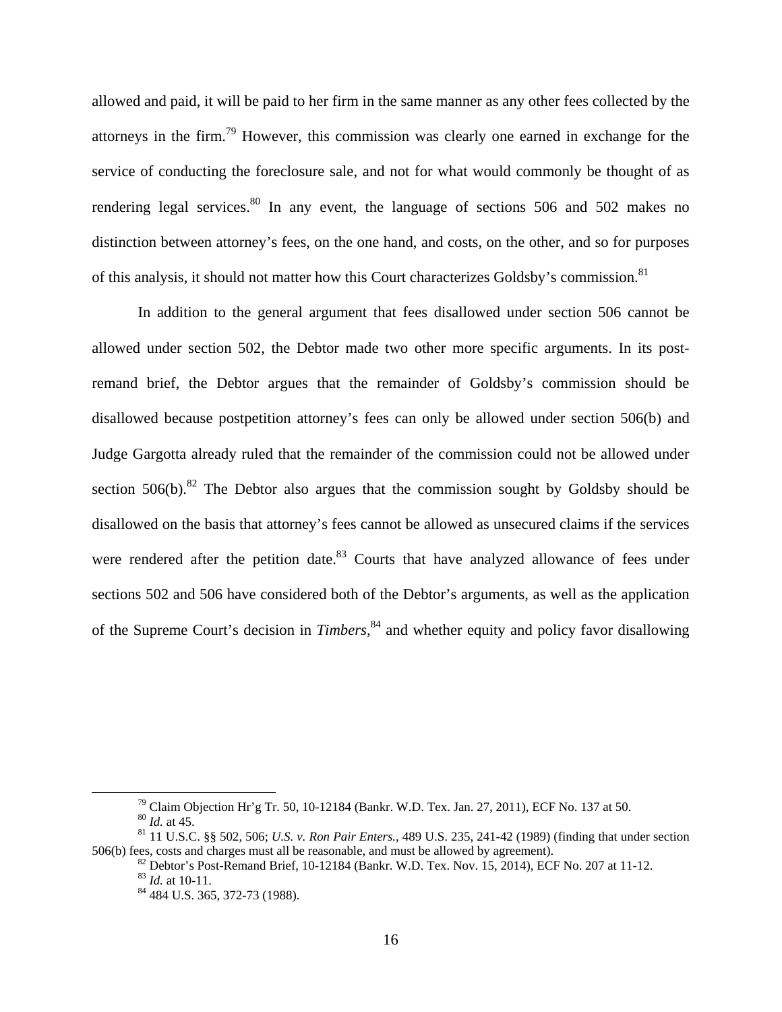allowed and paid, it will be paid to her firm in the same manner as any other fees collected by the attorneys in the firm.79 However, this commission was clearly one earned in exchange for the service of conducting the foreclosure sale, and not for what would commonly be thought of as rendering legal services.<sup>80</sup> In any event, the language of sections 506 and 502 makes no distinction between attorney's fees, on the one hand, and costs, on the other, and so for purposes of this analysis, it should not matter how this Court characterizes Goldsby's commission.<sup>81</sup>

In addition to the general argument that fees disallowed under section 506 cannot be allowed under section 502, the Debtor made two other more specific arguments. In its postremand brief, the Debtor argues that the remainder of Goldsby's commission should be disallowed because postpetition attorney's fees can only be allowed under section 506(b) and Judge Gargotta already ruled that the remainder of the commission could not be allowed under section  $506(b)$ .<sup>82</sup> The Debtor also argues that the commission sought by Goldsby should be disallowed on the basis that attorney's fees cannot be allowed as unsecured claims if the services were rendered after the petition date.<sup>83</sup> Courts that have analyzed allowance of fees under sections 502 and 506 have considered both of the Debtor's arguments, as well as the application of the Supreme Court's decision in *Timbers,*84 and whether equity and policy favor disallowing

<sup>&</sup>lt;sup>79</sup> Claim Objection Hr'g Tr. 50, 10-12184 (Bankr. W.D. Tex. Jan. 27, 2011), ECF No. 137 at 50.<br><sup>80</sup> *Id.* at 45.

<sup>&</sup>lt;sup>81</sup> 11 U.S.C. §§ 502, 506; *U.S. v. Ron Pair Enters.*, 489 U.S. 235, 241-42 (1989) (finding that under section 506(b) fees, costs and charges must all be reasonable, and must be allowed by agreement).

<sup>&</sup>lt;sup>82</sup> Debtor's Post-Remand Brief, 10-12184 (Bankr. W.D. Tex. Nov. 15, 2014), ECF No. 207 at 11-12.<br><sup>83</sup> *Id.* at 10-11.

<sup>&</sup>lt;sup>84</sup> 484 U.S. 365, 372-73 (1988).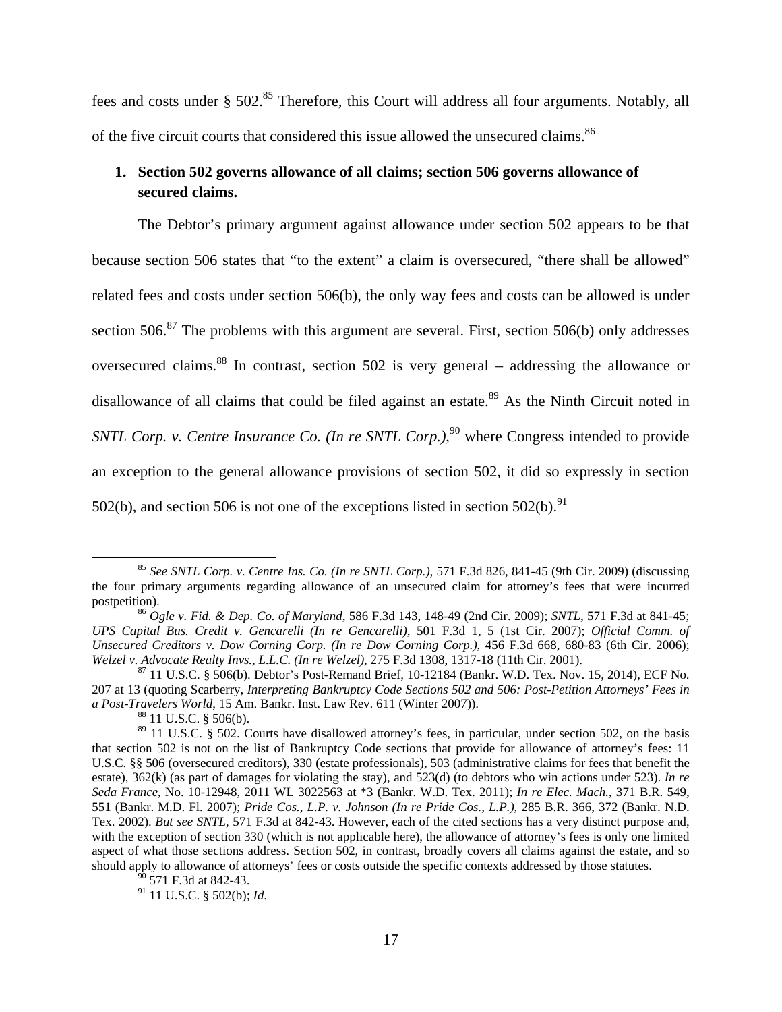fees and costs under § 502.<sup>85</sup> Therefore, this Court will address all four arguments. Notably, all of the five circuit courts that considered this issue allowed the unsecured claims.<sup>86</sup>

# **1. Section 502 governs allowance of all claims; section 506 governs allowance of secured claims.**

The Debtor's primary argument against allowance under section 502 appears to be that because section 506 states that "to the extent" a claim is oversecured, "there shall be allowed" related fees and costs under section 506(b), the only way fees and costs can be allowed is under section  $506$ <sup>87</sup>. The problems with this argument are several. First, section  $506(b)$  only addresses oversecured claims.88 In contrast, section 502 is very general – addressing the allowance or disallowance of all claims that could be filed against an estate.<sup>89</sup> As the Ninth Circuit noted in SNTL Corp. v. Centre Insurance Co. (In re SNTL Corp.),<sup>90</sup> where Congress intended to provide an exception to the general allowance provisions of section 502, it did so expressly in section 502(b), and section 506 is not one of the exceptions listed in section 502(b). <sup>91</sup>

 <sup>85</sup> *See SNTL Corp. v. Centre Ins. Co. (In re SNTL Corp.)*, 571 F.3d 826, 841-45 (9th Cir. 2009) (discussing the four primary arguments regarding allowance of an unsecured claim for attorney's fees that were incurred postpetition). 86 *Ogle v. Fid. & Dep. Co. of Maryland*, 586 F.3d 143, 148-49 (2nd Cir. 2009); *SNTL*, 571 F.3d at 841-45;

*UPS Capital Bus. Credit v. Gencarelli (In re Gencarelli)*, 501 F.3d 1, 5 (1st Cir. 2007); *Official Comm. of Unsecured Creditors v. Dow Corning Corp. (In re Dow Corning Corp.)*, 456 F.3d 668, 680-83 (6th Cir. 2006); *Welzel v. Advocate Realty Invs., L.L.C. (In re Welzel)*, 275 F.3d 1308, 1317-18 (11th Cir. 2001).<br><sup>87</sup> 11 U.S.C. § 506(b). Debtor's Post-Remand Brief, 10-12184 (Bankr. W.D. Tex. Nov. 15, 2014), ECF No.

<sup>207</sup> at 13 (quoting Scarberry, *Interpreting Bankruptcy Code Sections 502 and 506: Post-Petition Attorneys' Fees in a Post-Travelers World*, 15 Am. Bankr. Inst. Law Rev. 611 (Winter 2007)).<br><sup>88</sup> 11 U.S.C. § 506(b).

<sup>&</sup>lt;sup>89</sup> 11 U.S.C. § 502. Courts have disallowed attorney's fees, in particular, under section 502, on the basis that section 502 is not on the list of Bankruptcy Code sections that provide for allowance of attorney's fees: 11 U.S.C. §§ 506 (oversecured creditors), 330 (estate professionals), 503 (administrative claims for fees that benefit the estate), 362(k) (as part of damages for violating the stay), and 523(d) (to debtors who win actions under 523). *In re Seda France*, No. 10-12948, 2011 WL 3022563 at \*3 (Bankr. W.D. Tex. 2011); *In re Elec. Mach.*, 371 B.R. 549, 551 (Bankr. M.D. Fl. 2007); *Pride Cos., L.P. v. Johnson (In re Pride Cos., L.P.)*, 285 B.R. 366, 372 (Bankr. N.D. Tex. 2002). *But see SNTL*, 571 F.3d at 842-43. However, each of the cited sections has a very distinct purpose and, with the exception of section 330 (which is not applicable here), the allowance of attorney's fees is only one limited aspect of what those sections address. Section 502, in contrast, broadly covers all claims against the estate, and so should apply to allowance of attorneys' fees or costs outside the specific contexts addressed by those statutes.

<sup>571</sup> F.3d at 842-43.

<sup>91 11</sup> U.S.C. § 502(b); *Id*.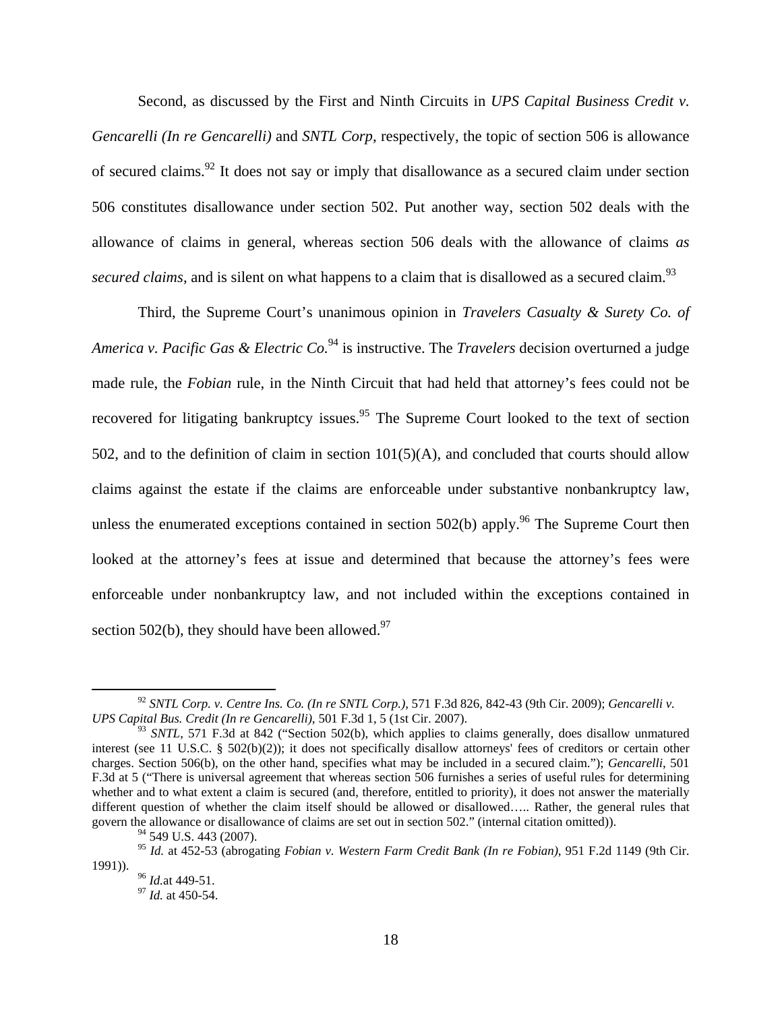Second, as discussed by the First and Ninth Circuits in *UPS Capital Business Credit v. Gencarelli (In re Gencarelli)* and *SNTL Corp*, respectively, the topic of section 506 is allowance of secured claims.<sup>92</sup> It does not say or imply that disallowance as a secured claim under section 506 constitutes disallowance under section 502. Put another way, section 502 deals with the allowance of claims in general, whereas section 506 deals with the allowance of claims *as secured claims*, and is silent on what happens to a claim that is disallowed as a secured claim.<sup>93</sup>

Third, the Supreme Court's unanimous opinion in *Travelers Casualty & Surety Co. of America v. Pacific Gas & Electric Co.*94 is instructive. The *Travelers* decision overturned a judge made rule, the *Fobian* rule, in the Ninth Circuit that had held that attorney's fees could not be recovered for litigating bankruptcy issues.<sup>95</sup> The Supreme Court looked to the text of section 502, and to the definition of claim in section  $101(5)(A)$ , and concluded that courts should allow claims against the estate if the claims are enforceable under substantive nonbankruptcy law, unless the enumerated exceptions contained in section  $502(b)$  apply.<sup>96</sup> The Supreme Court then looked at the attorney's fees at issue and determined that because the attorney's fees were enforceable under nonbankruptcy law, and not included within the exceptions contained in section 502(b), they should have been allowed. $97$ 

 <sup>92</sup> *SNTL Corp. v. Centre Ins. Co. (In re SNTL Corp.)*, 571 F.3d 826, 842-43 (9th Cir. 2009); *Gencarelli v. UPS Capital Bus. Credit (In re Gencarelli)*, 501 F.3d 1, 5 (1st Cir. 2007).

<sup>&</sup>lt;sup>93</sup> *SNTL*, 571 F.3d at 842 ("Section 502(b), which applies to claims generally, does disallow unmatured interest (see 11 U.S.C. § 502(b)(2)); it does not specifically disallow attorneys' fees of creditors or certain other charges. Section 506(b), on the other hand, specifies what may be included in a secured claim."); *Gencarelli*, 501 F.3d at 5 ("There is universal agreement that whereas section 506 furnishes a series of useful rules for determining whether and to what extent a claim is secured (and, therefore, entitled to priority), it does not answer the materially different question of whether the claim itself should be allowed or disallowed..... Rather, the general rules that govern the allowance or disallowance of claims are set out in section 502." (internal citation omitted)).

<sup>&</sup>lt;sup>94</sup> 549 U.S. 443 (2007).

<sup>95</sup> *Id.* at 452-53 (abrogating *Fobian v. Western Farm Credit Bank (In re Fobian)*, 951 F.2d 1149 (9th Cir.

<sup>1991)). 96</sup> *Id.*at 449-51. 97 *Id.* at 450-54.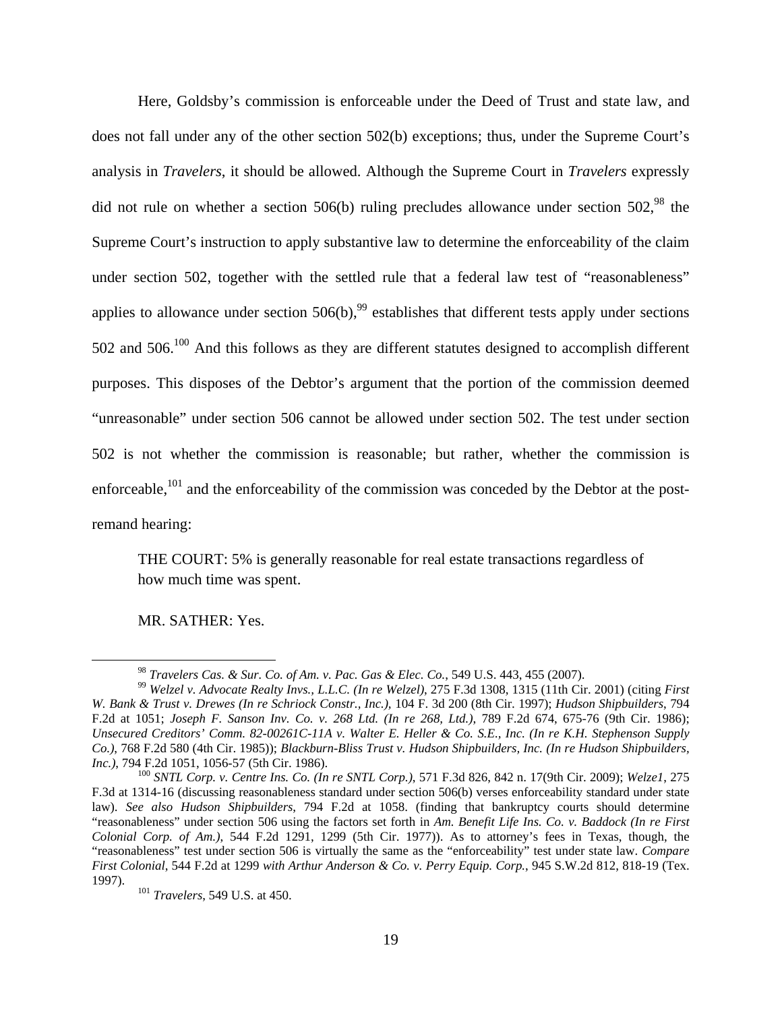Here, Goldsby's commission is enforceable under the Deed of Trust and state law, and does not fall under any of the other section 502(b) exceptions; thus, under the Supreme Court's analysis in *Travelers*, it should be allowed. Although the Supreme Court in *Travelers* expressly did not rule on whether a section  $506(b)$  ruling precludes allowance under section  $502$ ,  $98$  the Supreme Court's instruction to apply substantive law to determine the enforceability of the claim under section 502, together with the settled rule that a federal law test of "reasonableness" applies to allowance under section  $506(b)$ ,<sup>99</sup> establishes that different tests apply under sections 502 and 506.<sup>100</sup> And this follows as they are different statutes designed to accomplish different purposes. This disposes of the Debtor's argument that the portion of the commission deemed "unreasonable" under section 506 cannot be allowed under section 502. The test under section 502 is not whether the commission is reasonable; but rather, whether the commission is enforceable,<sup>101</sup> and the enforceability of the commission was conceded by the Debtor at the postremand hearing:

THE COURT: 5% is generally reasonable for real estate transactions regardless of how much time was spent.

MR. SATHER: Yes.

<sup>98</sup> *Travelers Cas. & Sur. Co. of Am. v. Pac. Gas & Elec. Co.*, 549 U.S. 443, 455 (2007). 99 *Welzel v. Advocate Realty Invs., L.L.C. (In re Welzel)*, 275 F.3d 1308, 1315 (11th Cir. 2001) (citing *First W. Bank & Trust v. Drewes (In re Schriock Constr., Inc.),* 104 F. 3d 200 (8th Cir. 1997); *Hudson Shipbuilders*, 794 F.2d at 1051; *Joseph F. Sanson Inv. Co. v. 268 Ltd. (In re 268, Ltd.)*, 789 F.2d 674, 675-76 (9th Cir. 1986); *Unsecured Creditors' Comm. 82-00261C-11A v. Walter E. Heller & Co. S.E., Inc. (In re K.H. Stephenson Supply Co.)*, 768 F.2d 580 (4th Cir. 1985)); *Blackburn-Bliss Trust v. Hudson Shipbuilders, Inc. (In re Hudson Shipbuilders, Inc.)*, 794 F.2d 1051, 1056-57 (5th Cir. 1986). 100 *SNTL Corp. v. Centre Ins. Co. (In re SNTL Corp.)*, 571 F.3d 826, 842 n. 17(9th Cir. 2009); *Welze1*, 275

F.3d at 1314-16 (discussing reasonableness standard under section 506(b) verses enforceability standard under state law). *See also Hudson Shipbuilders*, 794 F.2d at 1058. (finding that bankruptcy courts should determine "reasonableness" under section 506 using the factors set forth in *Am. Benefit Life Ins. Co. v. Baddock (In re First Colonial Corp. of Am.)*, 544 F.2d 1291, 1299 (5th Cir. 1977)). As to attorney's fees in Texas, though, the "reasonableness" test under section 506 is virtually the same as the "enforceability" test under state law. *Compare First Colonial*, 544 F.2d at 1299 *with Arthur Anderson & Co. v. Perry Equip. Corp.*, 945 S.W.2d 812, 818-19 (Tex. 1997). 101 *Travelers*, 549 U.S. at 450.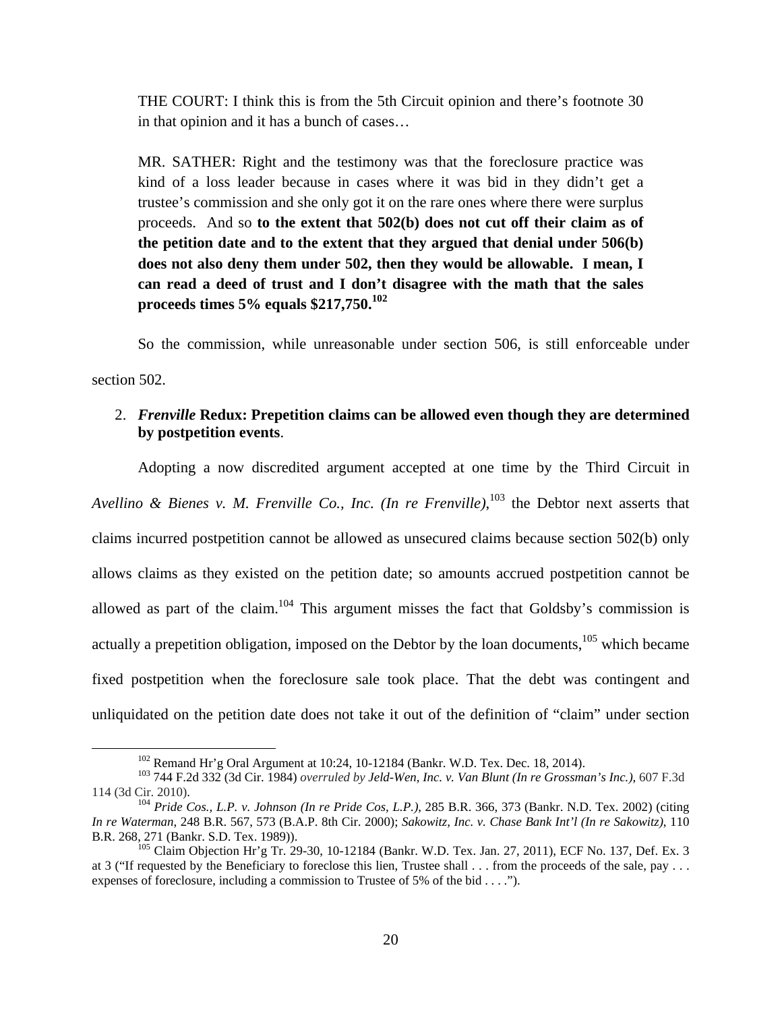THE COURT: I think this is from the 5th Circuit opinion and there's footnote 30 in that opinion and it has a bunch of cases…

MR. SATHER: Right and the testimony was that the foreclosure practice was kind of a loss leader because in cases where it was bid in they didn't get a trustee's commission and she only got it on the rare ones where there were surplus proceeds. And so **to the extent that 502(b) does not cut off their claim as of the petition date and to the extent that they argued that denial under 506(b) does not also deny them under 502, then they would be allowable. I mean, I can read a deed of trust and I don't disagree with the math that the sales proceeds times 5% equals \$217,750.<sup>102</sup>**

So the commission, while unreasonable under section 506, is still enforceable under section 502.

## 2. *Frenville* **Redux: Prepetition claims can be allowed even though they are determined by postpetition events**.

Adopting a now discredited argument accepted at one time by the Third Circuit in *Avellino & Bienes v. M. Frenville Co., Inc. (In re Frenville)*, 103 the Debtor next asserts that claims incurred postpetition cannot be allowed as unsecured claims because section 502(b) only allows claims as they existed on the petition date; so amounts accrued postpetition cannot be allowed as part of the claim.<sup>104</sup> This argument misses the fact that Goldsby's commission is actually a prepetition obligation, imposed on the Debtor by the loan documents,  $105$  which became fixed postpetition when the foreclosure sale took place. That the debt was contingent and unliquidated on the petition date does not take it out of the definition of "claim" under section

 <sup>102</sup> Remand Hr'g Oral Argument at 10:24, 10-12184 (Bankr. W.D. Tex. Dec. 18, 2014). 103 744 F.2d 332 (3d Cir. 1984) *overruled by Jeld-Wen, Inc. v. Van Blunt (In re Grossman's Inc.)*, 607 F.3d 114 (3d Cir. 2010). 104 *Pride Cos., L.P. v. Johnson (In re Pride Cos, L.P.)*, 285 B.R. 366, 373 (Bankr. N.D. Tex. 2002) (citing

*In re Waterman*, 248 B.R. 567, 573 (B.A.P. 8th Cir. 2000); *Sakowitz, Inc. v. Chase Bank Int'l (In re Sakowitz)*, 110 B.R. 268, 271 (Bankr. S.D. Tex. 1989)).<br><sup>105</sup> Claim Objection Hr'g Tr. 29-30, 10-12184 (Bankr. W.D. Tex. Jan. 27, 2011), ECF No. 137, Def. Ex. 3

at 3 ("If requested by the Beneficiary to foreclose this lien, Trustee shall . . . from the proceeds of the sale, pay . . . expenses of foreclosure, including a commission to Trustee of 5% of the bid . . . .").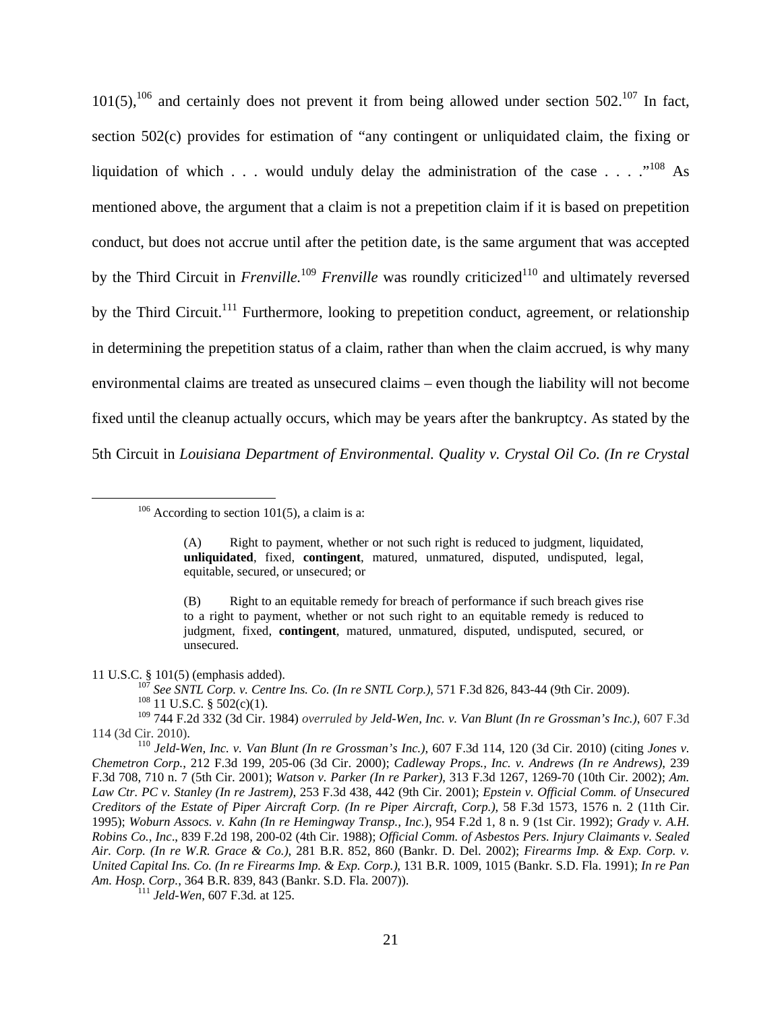$101(5)$ ,  $106$  and certainly does not prevent it from being allowed under section 502.<sup>107</sup> In fact, section 502(c) provides for estimation of "any contingent or unliquidated claim, the fixing or liquidation of which . . . would unduly delay the administration of the case  $\ldots$  ...<sup>108</sup> As mentioned above, the argument that a claim is not a prepetition claim if it is based on prepetition conduct, but does not accrue until after the petition date, is the same argument that was accepted by the Third Circuit in *Frenville*.<sup>109</sup> *Frenville* was roundly criticized<sup>110</sup> and ultimately reversed by the Third Circuit.<sup>111</sup> Furthermore, looking to prepetition conduct, agreement, or relationship in determining the prepetition status of a claim, rather than when the claim accrued, is why many environmental claims are treated as unsecured claims – even though the liability will not become fixed until the cleanup actually occurs, which may be years after the bankruptcy. As stated by the 5th Circuit in *Louisiana Department of Environmental. Quality v. Crystal Oil Co. (In re Crystal* 

11 U.S.C. § 101(5) (emphasis added). 107 *See SNTL Corp. v. Centre Ins. Co. (In re SNTL Corp.)*, 571 F.3d 826, 843-44 (9th Cir. 2009). 108 11 U.S.C. § 502(c)(1).

109 744 F.2d 332 (3d Cir. 1984) *overruled by Jeld-Wen, Inc. v. Van Blunt (In re Grossman's Inc.)*, 607 F.3d 114 (3d Cir. 2010). 110 *Jeld-Wen, Inc. v. Van Blunt (In re Grossman's Inc.)*, 607 F.3d 114, 120 (3d Cir. 2010) (citing *Jones v.* 

 $106$  According to section 101(5), a claim is a:

<sup>(</sup>A) Right to payment, whether or not such right is reduced to judgment, liquidated, **unliquidated**, fixed, **contingent**, matured, unmatured, disputed, undisputed, legal, equitable, secured, or unsecured; or

<sup>(</sup>B) Right to an equitable remedy for breach of performance if such breach gives rise to a right to payment, whether or not such right to an equitable remedy is reduced to judgment, fixed, **contingent**, matured, unmatured, disputed, undisputed, secured, or unsecured.

*Chemetron Corp.*, 212 F.3d 199, 205-06 (3d Cir. 2000); *Cadleway Props., Inc. v. Andrews (In re Andrews)*, 239 F.3d 708, 710 n. 7 (5th Cir. 2001); *Watson v. Parker (In re Parker)*, 313 F.3d 1267, 1269-70 (10th Cir. 2002); *Am. Law Ctr. PC v. Stanley (In re Jastrem)*, 253 F.3d 438, 442 (9th Cir. 2001); *Epstein v. Official Comm. of Unsecured Creditors of the Estate of Piper Aircraft Corp. (In re Piper Aircraft, Corp.)*, 58 F.3d 1573, 1576 n. 2 (11th Cir. 1995); *Woburn Assocs. v. Kahn (In re Hemingway Transp., Inc.*), 954 F.2d 1, 8 n. 9 (1st Cir. 1992); *Grady v. A.H. Robins Co.*, *Inc*., 839 F.2d 198, 200-02 (4th Cir. 1988); *Official Comm. of Asbestos Pers. Injury Claimants v. Sealed Air. Corp. (In re W.R. Grace & Co.)*, 281 B.R. 852, 860 (Bankr. D. Del. 2002); *Firearms Imp. & Exp. Corp. v. United Capital Ins. Co. (In re Firearms Imp. & Exp. Corp.)*, 131 B.R. 1009, 1015 (Bankr. S.D. Fla. 1991); *In re Pan Am. Hosp. Corp.*, 364 B.R. 839, 843 (Bankr. S.D. Fla. 2007)). 111 *Jeld-Wen*, 607 F.3d*.* at 125.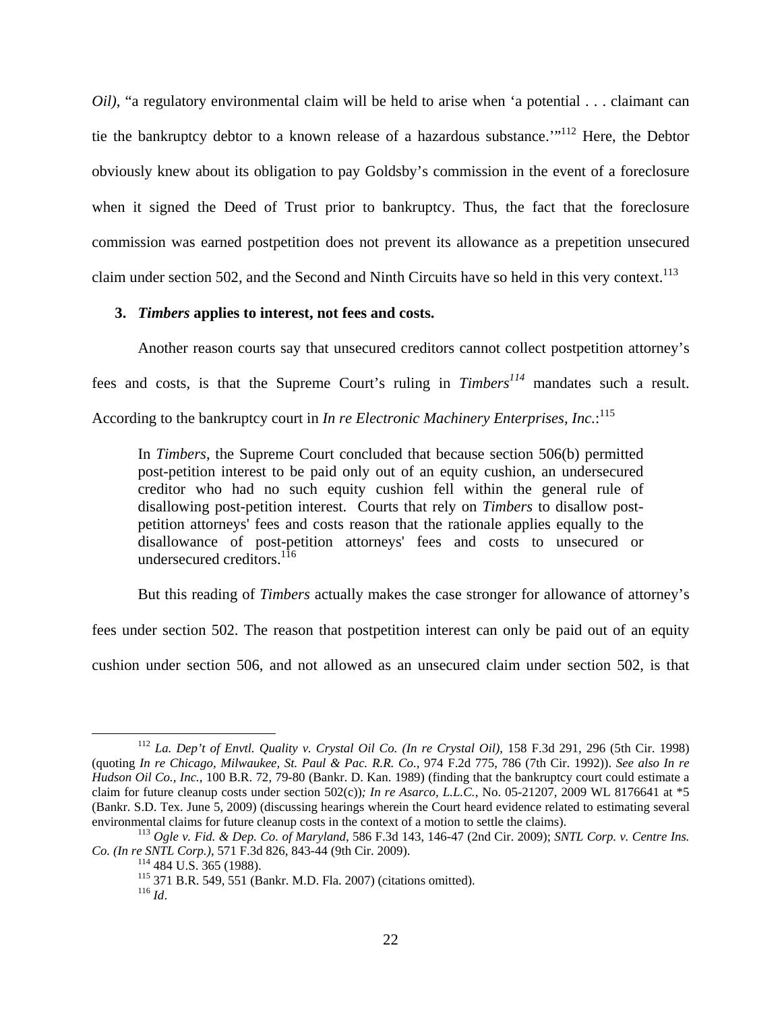*Oil*), "a regulatory environmental claim will be held to arise when 'a potential . . . claimant can tie the bankruptcy debtor to a known release of a hazardous substance.'"112 Here, the Debtor obviously knew about its obligation to pay Goldsby's commission in the event of a foreclosure when it signed the Deed of Trust prior to bankruptcy. Thus, the fact that the foreclosure commission was earned postpetition does not prevent its allowance as a prepetition unsecured claim under section 502, and the Second and Ninth Circuits have so held in this very context.<sup>113</sup>

#### **3.** *Timbers* **applies to interest, not fees and costs.**

Another reason courts say that unsecured creditors cannot collect postpetition attorney's fees and costs, is that the Supreme Court's ruling in *Timbers<sup>114</sup>* mandates such a result. According to the bankruptcy court in *In re Electronic Machinery Enterprises, Inc.*: 115

In *Timbers*, the Supreme Court concluded that because section 506(b) permitted post-petition interest to be paid only out of an equity cushion, an undersecured creditor who had no such equity cushion fell within the general rule of disallowing post-petition interest. Courts that rely on *Timbers* to disallow postpetition attorneys' fees and costs reason that the rationale applies equally to the disallowance of post-petition attorneys' fees and costs to unsecured or undersecured creditors.<sup>116</sup>

But this reading of *Timbers* actually makes the case stronger for allowance of attorney's

fees under section 502. The reason that postpetition interest can only be paid out of an equity

cushion under section 506, and not allowed as an unsecured claim under section 502, is that

 <sup>112</sup> *La. Dep't of Envtl. Quality v. Crystal Oil Co. (In re Crystal Oil)*, 158 F.3d 291, 296 (5th Cir. 1998) (quoting *In re Chicago, Milwaukee, St. Paul & Pac. R.R. Co.*, 974 F.2d 775, 786 (7th Cir. 1992)). *See also In re Hudson Oil Co., Inc.*, 100 B.R. 72, 79-80 (Bankr. D. Kan. 1989) (finding that the bankruptcy court could estimate a claim for future cleanup costs under section 502(c))*; In re Asarco, L.L.C.*, No. 05-21207, 2009 WL 8176641 at \*5 (Bankr. S.D. Tex. June 5, 2009) (discussing hearings wherein the Court heard evidence related to estimating several environmental claims for future cleanup costs in the context of a motion to settle the claims).

<sup>&</sup>lt;sup>113</sup> Ogle v. Fid. & Dep. Co. of Maryland, 586 F.3d 143, 146-47 (2nd Cir. 2009); *SNTL Corp. v. Centre Ins.* Co. (In re SNTL Corp.), 571 F.3d 826, 843-44 (9th Cir. 2009).

<sup>&</sup>lt;sup>114</sup> 484 U.S. 365 (1988).<br><sup>115</sup> 371 B.R. 549, 551 (Bankr. M.D. Fla. 2007) (citations omitted).<br><sup>116</sup> *Id*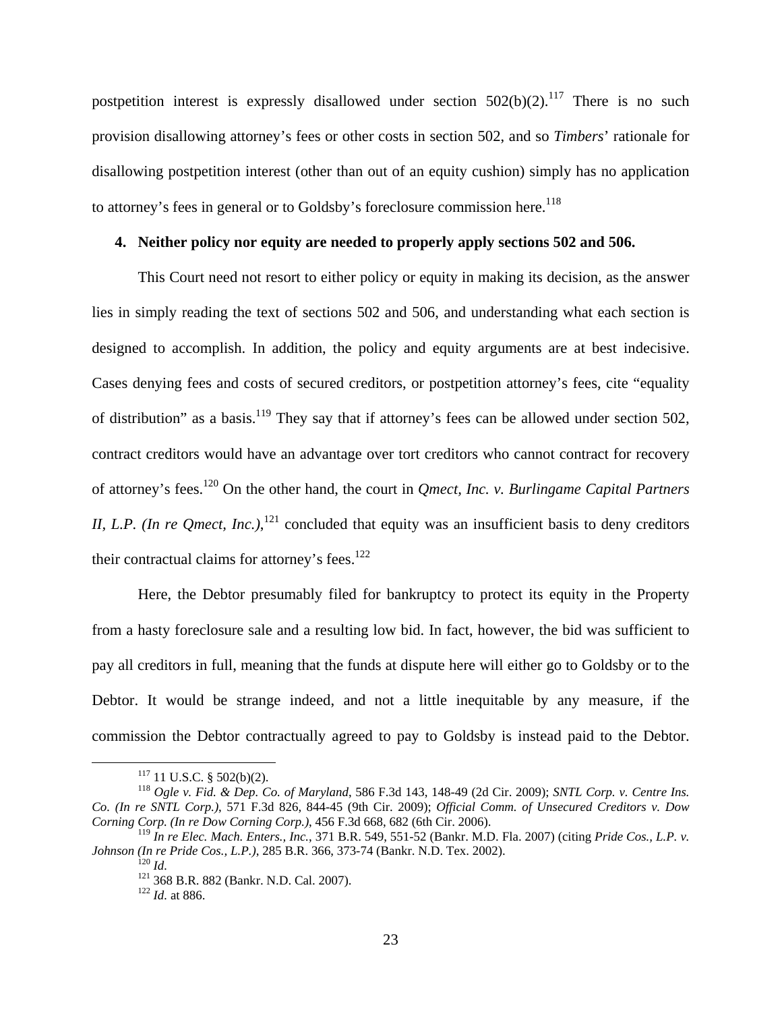postpetition interest is expressly disallowed under section  $502(b)(2)$ .<sup>117</sup> There is no such provision disallowing attorney's fees or other costs in section 502, and so *Timbers*' rationale for disallowing postpetition interest (other than out of an equity cushion) simply has no application to attorney's fees in general or to Goldsby's foreclosure commission here.<sup>118</sup>

### **4. Neither policy nor equity are needed to properly apply sections 502 and 506.**

This Court need not resort to either policy or equity in making its decision, as the answer lies in simply reading the text of sections 502 and 506, and understanding what each section is designed to accomplish. In addition, the policy and equity arguments are at best indecisive. Cases denying fees and costs of secured creditors, or postpetition attorney's fees, cite "equality of distribution" as a basis.<sup>119</sup> They say that if attorney's fees can be allowed under section 502, contract creditors would have an advantage over tort creditors who cannot contract for recovery of attorney's fees.120 On the other hand, the court in *Qmect, Inc. v. Burlingame Capital Partners II, L.P. (In re Qmect, Inc.)*,  $^{121}$  concluded that equity was an insufficient basis to deny creditors their contractual claims for attorney's fees. $122$ 

Here, the Debtor presumably filed for bankruptcy to protect its equity in the Property from a hasty foreclosure sale and a resulting low bid. In fact, however, the bid was sufficient to pay all creditors in full, meaning that the funds at dispute here will either go to Goldsby or to the Debtor. It would be strange indeed, and not a little inequitable by any measure, if the commission the Debtor contractually agreed to pay to Goldsby is instead paid to the Debtor.

 <sup>117 11</sup> U.S.C. § 502(b)(2). 118 *Ogle v. Fid. & Dep. Co. of Maryland*, 586 F.3d 143, 148-49 (2d Cir. 2009); *SNTL Corp. v. Centre Ins. Co. (In re SNTL Corp.)*, 571 F.3d 826, 844-45 (9th Cir. 2009); *Official Comm. of Unsecured Creditors v. Dow Corning Corp. (In re Dow Corning Corp.)*, 456 F.3d 668, 682 (6th Cir. 2006).

<sup>119</sup> *In re Elec. Mach. Enters., Inc.*, 371 B.R. 549, 551-52 (Bankr. M.D. Fla. 2007) (citing *Pride Cos., L.P. v. Johnson (In re Pride Cos., L.P.)*, 285 B.R. 366, 373-74 (Bankr. N.D. Tex. 2002).<br><sup>120</sup> *Id.* <sup>121</sup> 368 B.R. 882 (Bankr. N.D. Cal. 2007). <sup>122</sup> *Id.* at 886.